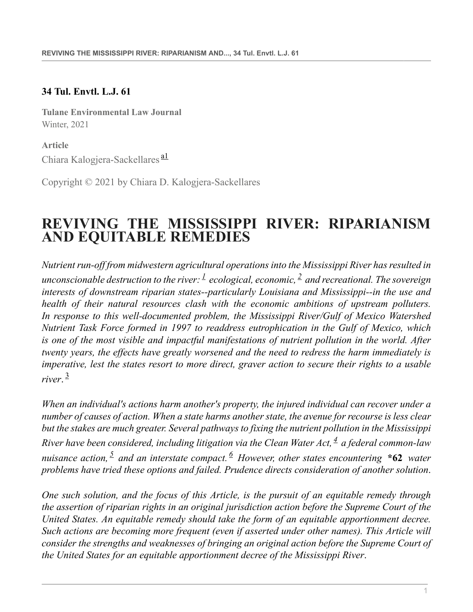#### **34 Tul. Envtl. L.J. 61**

**Tulane Environmental Law Journal** Winter, 2021

<span id="page-0-0"></span>**Article** Chiara Kalogjera-Sackellares<sup>[a1](#page-17-0)</sup>

Copyright © 2021 by Chiara D. Kalogjera-Sackellares

# **REVIVING THE MISSISSIPPI RIVER: RIPARIANISM AND EQUITABLE REMEDIES**

<span id="page-0-2"></span><span id="page-0-1"></span>*Nutrient run-off from midwestern agricultural operations into the Mississippi River has resulted in unconscionable destruction to the river: [1](#page-17-1) ecological, economic, [2](#page-17-2) and recreational. The sovereign interests of downstream riparian states--particularly Louisiana and Mississippi--in the use and health of their natural resources clash with the economic ambitions of upstream polluters. In response to this well-documented problem, the Mississippi River/Gulf of Mexico Watershed Nutrient Task Force formed in 1997 to readdress eutrophication in the Gulf of Mexico, which is one of the most visible and impactful manifestations of nutrient pollution in the world. After twenty years, the effects have greatly worsened and the need to redress the harm immediately is imperative, lest the states resort to more direct, graver action to secure their rights to a usable river*. [3](#page-18-0)

<span id="page-0-4"></span><span id="page-0-3"></span>*When an individual's actions harm another's property, the injured individual can recover under a number of causes of action. When a state harms another state, the avenue for recourse is less clear but the stakes are much greater. Several pathways to fixing the nutrient pollution in the Mississippi River have been considered, including litigation via the Clean Water Act, [4](#page-18-1) a federal common-law nuisance action, [5](#page-18-2) and an interstate compact. [6](#page-18-3) However, other states encountering* **\*62** *water problems have tried these options and failed. Prudence directs consideration of another solution*.

<span id="page-0-6"></span><span id="page-0-5"></span>*One such solution, and the focus of this Article, is the pursuit of an equitable remedy through the assertion of riparian rights in an original jurisdiction action before the Supreme Court of the United States. An equitable remedy should take the form of an equitable apportionment decree. Such actions are becoming more frequent (even if asserted under other names). This Article will consider the strengths and weaknesses of bringing an original action before the Supreme Court of the United States for an equitable apportionment decree of the Mississippi River*.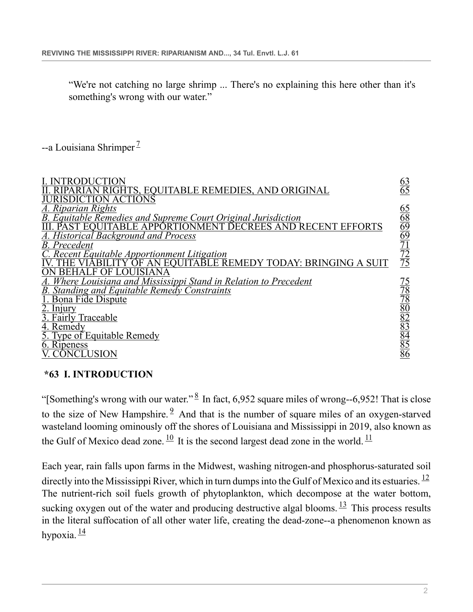<span id="page-1-1"></span>"We're not catching no large shrimp ... There's no explaining this here other than it's something's wrong with our water."

 $-$ a Louisiana Shrimper<sup> $\perp$ </sup>

| RIGHTS, EQUITABLE REMEDIES, AND ORIGINAL                                                                                       | $\frac{63}{65}$                                                                 |
|--------------------------------------------------------------------------------------------------------------------------------|---------------------------------------------------------------------------------|
| JURISDICTION ACTIÓNS<br>A. Riparian Rights<br><b>Equitable Remedies and Supreme Court Original Jurisdiction</b>                |                                                                                 |
| AND RECENT EFFORTS<br><b>Historical Background and Process</b>                                                                 | $\frac{65}{68}$ $\frac{69}{69}$ $\frac{71}{72}$ $\frac{72}{75}$                 |
| <b>B.</b> Precedent<br>Recent Equitable Apportionment Litigation<br>EQUITABLE REMEDY TODAY: BRINGING A SUIT                    |                                                                                 |
| <u>. Where Louisiana and Mississippi Stand in Relation to Precedent</u><br><b>B.</b> Standing and Equitable Remedy Constraints |                                                                                 |
| Bona Fide Dispute<br>2. <u>Injury</u>                                                                                          | $\frac{75}{78}$ $\frac{78}{80}$ $\frac{80}{82}$ $\frac{82}{85}$ $\frac{85}{85}$ |
| 3. Fairly Traceable<br>4. Remedy<br>5. Type of Equitable Remedy                                                                |                                                                                 |
| 6. Ripeness<br>ONCLUSION                                                                                                       |                                                                                 |

#### <span id="page-1-2"></span><span id="page-1-0"></span>**\*63 I. INTRODUCTION**

<span id="page-1-3"></span>"[Something's wrong with our water."  $\frac{8}{3}$  $\frac{8}{3}$  $\frac{8}{3}$  In fact, 6,952 square miles of wrong--6,952! That is close to the size of New Hampshire.  $9$  And that is the number of square miles of an oxygen-starved wasteland looming ominously off the shores of Louisiana and Mississippi in 2019, also known as the Gulf of Mexico dead zone.  $\frac{10}{1}$  $\frac{10}{1}$  $\frac{10}{1}$  It is the second largest dead zone in the world.  $\frac{11}{1}$  $\frac{11}{1}$  $\frac{11}{1}$ 

<span id="page-1-8"></span><span id="page-1-7"></span><span id="page-1-6"></span><span id="page-1-5"></span><span id="page-1-4"></span>Each year, rain falls upon farms in the Midwest, washing nitrogen-and phosphorus-saturated soil directly into the Mississippi River, which in turn dumps into the Gulf of Mexico and its estuaries.  $^{12}$  $^{12}$  $^{12}$ The nutrient-rich soil fuels growth of phytoplankton, which decompose at the water bottom, sucking oxygen out of the water and producing destructive algal blooms.  $\frac{13}{13}$  $\frac{13}{13}$  $\frac{13}{13}$  This process results in the literal suffocation of all other water life, creating the dead-zone--a phenomenon known as hypoxia.  $\frac{14}{3}$  $\frac{14}{3}$  $\frac{14}{3}$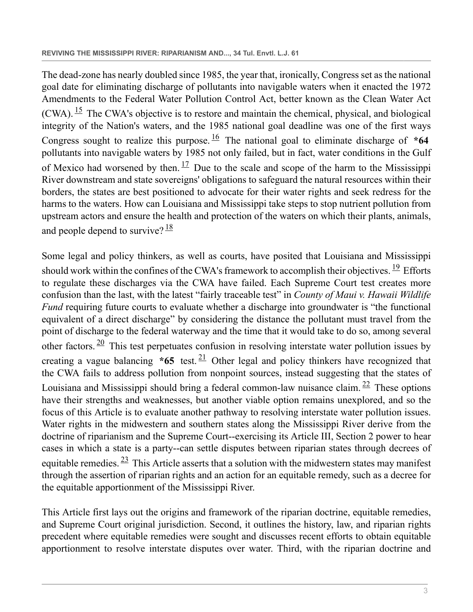<span id="page-2-2"></span><span id="page-2-1"></span><span id="page-2-0"></span>The dead-zone has nearly doubled since 1985, the year that, ironically, Congress set as the national goal date for eliminating discharge of pollutants into navigable waters when it enacted the 1972 Amendments to the Federal Water Pollution Control Act, better known as the Clean Water Act (CWA).  $^{15}$  $^{15}$  $^{15}$  The CWA's objective is to restore and maintain the chemical, physical, and biological integrity of the Nation's waters, and the 1985 national goal deadline was one of the first ways Congress sought to realize this purpose.  $\frac{16}{10}$  $\frac{16}{10}$  $\frac{16}{10}$  The national goal to eliminate discharge of  $*64$ pollutants into navigable waters by 1985 not only failed, but in fact, water conditions in the Gulf of Mexico had worsened by then.  $\frac{17}{1}$  $\frac{17}{1}$  $\frac{17}{1}$  Due to the scale and scope of the harm to the Mississippi River downstream and state sovereigns' obligations to safeguard the natural resources within their borders, the states are best positioned to advocate for their water rights and seek redress for the harms to the waters. How can Louisiana and Mississippi take steps to stop nutrient pollution from upstream actors and ensure the health and protection of the waters on which their plants, animals, and people depend to survive?  $\frac{18}{3}$  $\frac{18}{3}$  $\frac{18}{3}$ 

<span id="page-2-7"></span><span id="page-2-6"></span><span id="page-2-5"></span><span id="page-2-4"></span><span id="page-2-3"></span>Some legal and policy thinkers, as well as courts, have posited that Louisiana and Mississippi should work within the confines of the CWA's framework to accomplish their objectives.  $\frac{19}{12}$  $\frac{19}{12}$  $\frac{19}{12}$  Efforts to regulate these discharges via the CWA have failed. Each Supreme Court test creates more confusion than the last, with the latest "fairly traceable test" in *County of Maui v. Hawaii Wildlife Fund* requiring future courts to evaluate whether a discharge into groundwater is "the functional equivalent of a direct discharge" by considering the distance the pollutant must travel from the point of discharge to the federal waterway and the time that it would take to do so, among several other factors.  $\frac{20}{10}$  $\frac{20}{10}$  $\frac{20}{10}$  This test perpetuates confusion in resolving interstate water pollution issues by creating a vague balancing  $*65$  test. <sup>[21](#page-19-8)</sup> Other legal and policy thinkers have recognized that the CWA fails to address pollution from nonpoint sources, instead suggesting that the states of Louisiana and Mississippi should bring a federal common-law nuisance claim.  $22$  These options have their strengths and weaknesses, but another viable option remains unexplored, and so the focus of this Article is to evaluate another pathway to resolving interstate water pollution issues. Water rights in the midwestern and southern states along the Mississippi River derive from the doctrine of riparianism and the Supreme Court--exercising its Article III, Section 2 power to hear cases in which a state is a party--can settle disputes between riparian states through decrees of equitable remedies.  $\frac{23}{10}$  $\frac{23}{10}$  $\frac{23}{10}$  This Article asserts that a solution with the midwestern states may manifest through the assertion of riparian rights and an action for an equitable remedy, such as a decree for the equitable apportionment of the Mississippi River.

<span id="page-2-8"></span>This Article first lays out the origins and framework of the riparian doctrine, equitable remedies, and Supreme Court original jurisdiction. Second, it outlines the history, law, and riparian rights precedent where equitable remedies were sought and discusses recent efforts to obtain equitable apportionment to resolve interstate disputes over water. Third, with the riparian doctrine and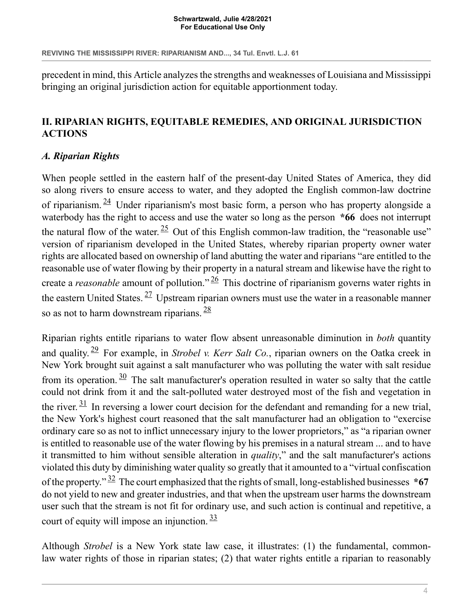#### **Schwartzwald, Julie 4/28/2021 For Educational Use Only**

precedent in mind, this Article analyzes the strengths and weaknesses of Louisiana and Mississippi bringing an original jurisdiction action for equitable apportionment today.

## <span id="page-3-0"></span>**II. RIPARIAN RIGHTS, EQUITABLE REMEDIES, AND ORIGINAL JURISDICTION ACTIONS**

## <span id="page-3-1"></span>*A. Riparian Rights*

<span id="page-3-3"></span><span id="page-3-2"></span>When people settled in the eastern half of the present-day United States of America, they did so along rivers to ensure access to water, and they adopted the English common-law doctrine of riparianism.  $\frac{24}{3}$  $\frac{24}{3}$  $\frac{24}{3}$  Under riparianism's most basic form, a person who has property alongside a waterbody has the right to access and use the water so long as the person  $*66$  does not interrupt the natural flow of the water.  $\frac{25}{10}$  $\frac{25}{10}$  $\frac{25}{10}$  Out of this English common-law tradition, the "reasonable use" version of riparianism developed in the United States, whereby riparian property owner water rights are allocated based on ownership of land abutting the water and riparians "are entitled to the reasonable use of water flowing by their property in a natural stream and likewise have the right to create a *reasonable* amount of pollution." [26](#page-20-3) This doctrine of riparianism governs water rights in the eastern United States.  $27$  Upstream riparian owners must use the water in a reasonable manner so as not to harm downstream riparians.  $\frac{28}{3}$  $\frac{28}{3}$  $\frac{28}{3}$ 

<span id="page-3-9"></span><span id="page-3-8"></span><span id="page-3-7"></span><span id="page-3-6"></span><span id="page-3-5"></span><span id="page-3-4"></span>Riparian rights entitle riparians to water flow absent unreasonable diminution in *both* quantity and quality. [29](#page-20-6) For example, in *Strobel v. Kerr Salt Co.*, riparian owners on the Oatka creek in New York brought suit against a salt manufacturer who was polluting the water with salt residue from its operation.  $\frac{30}{10}$  $\frac{30}{10}$  $\frac{30}{10}$  The salt manufacturer's operation resulted in water so salty that the cattle could not drink from it and the salt-polluted water destroyed most of the fish and vegetation in the river.  $\frac{31}{1}$  $\frac{31}{1}$  $\frac{31}{1}$  In reversing a lower court decision for the defendant and remanding for a new trial, the New York's highest court reasoned that the salt manufacturer had an obligation to "exercise ordinary care so as not to inflict unnecessary injury to the lower proprietors," as "a riparian owner is entitled to reasonable use of the water flowing by his premises in a natural stream ... and to have it transmitted to him without sensible alteration in *quality*," and the salt manufacturer's actions violated this duty by diminishing water quality so greatly that it amounted to a "virtual confiscation of the property." [32](#page-20-9) The court emphasized that the rights of small, long-established businesses **\*67** do not yield to new and greater industries, and that when the upstream user harms the downstream user such that the stream is not fit for ordinary use, and such action is continual and repetitive, a court of equity will impose an injunction.  $\frac{33}{2}$  $\frac{33}{2}$  $\frac{33}{2}$ 

<span id="page-3-11"></span><span id="page-3-10"></span>Although *Strobel* is a New York state law case, it illustrates: (1) the fundamental, commonlaw water rights of those in riparian states; (2) that water rights entitle a riparian to reasonably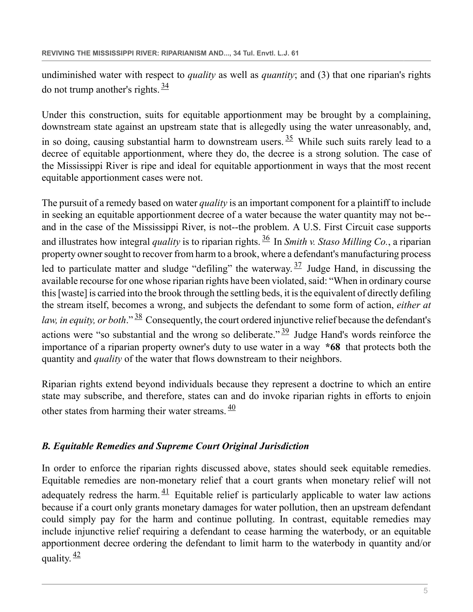<span id="page-4-1"></span>undiminished water with respect to *quality* as well as *quantity*; and (3) that one riparian's rights do not trump another's rights.  $\frac{34}{3}$  $\frac{34}{3}$  $\frac{34}{3}$ 

<span id="page-4-2"></span>Under this construction, suits for equitable apportionment may be brought by a complaining, downstream state against an upstream state that is allegedly using the water unreasonably, and, in so doing, causing substantial harm to downstream users.  $\frac{35}{10}$  $\frac{35}{10}$  $\frac{35}{10}$  While such suits rarely lead to a decree of equitable apportionment, where they do, the decree is a strong solution. The case of the Mississippi River is ripe and ideal for equitable apportionment in ways that the most recent equitable apportionment cases were not.

<span id="page-4-4"></span><span id="page-4-3"></span>The pursuit of a remedy based on water *quality* is an important component for a plaintiff to include in seeking an equitable apportionment decree of a water because the water quantity may not be- and in the case of the Mississippi River, is not--the problem. A U.S. First Circuit case supports and illustrates how integral *quality* is to riparian rights. [36](#page-20-13) In *Smith v. Staso Milling Co.*, a riparian property owner sought to recover from harm to a brook, where a defendant's manufacturing process led to particulate matter and sludge "defiling" the waterway.  $\frac{37}{1}$  $\frac{37}{1}$  $\frac{37}{1}$  Judge Hand, in discussing the available recourse for one whose riparian rights have been violated, said: "When in ordinary course this [waste] is carried into the brook through the settling beds, it is the equivalent of directly defiling the stream itself, becomes a wrong, and subjects the defendant to some form of action, *either at law, in equity, or both.*" <sup>[38](#page-21-0)</sup> Consequently, the court ordered injunctive relief because the defendant's actions were "so substantial and the wrong so deliberate."  $\frac{39}{2}$  $\frac{39}{2}$  $\frac{39}{2}$  Judge Hand's words reinforce the importance of a riparian property owner's duty to use water in a way **\*68** that protects both the quantity and *quality* of the water that flows downstream to their neighbors.

<span id="page-4-7"></span><span id="page-4-6"></span><span id="page-4-5"></span>Riparian rights extend beyond individuals because they represent a doctrine to which an entire state may subscribe, and therefore, states can and do invoke riparian rights in efforts to enjoin other states from harming their water streams.  $\frac{40}{3}$  $\frac{40}{3}$  $\frac{40}{3}$ 

# <span id="page-4-0"></span>*B. Equitable Remedies and Supreme Court Original Jurisdiction*

<span id="page-4-9"></span><span id="page-4-8"></span>In order to enforce the riparian rights discussed above, states should seek equitable remedies. Equitable remedies are non-monetary relief that a court grants when monetary relief will not adequately redress the harm.  $\frac{41}{1}$  $\frac{41}{1}$  $\frac{41}{1}$  Equitable relief is particularly applicable to water law actions because if a court only grants monetary damages for water pollution, then an upstream defendant could simply pay for the harm and continue polluting. In contrast, equitable remedies may include injunctive relief requiring a defendant to cease harming the waterbody, or an equitable apportionment decree ordering the defendant to limit harm to the waterbody in quantity and/or quality.  $\frac{42}{ }$  $\frac{42}{ }$  $\frac{42}{ }$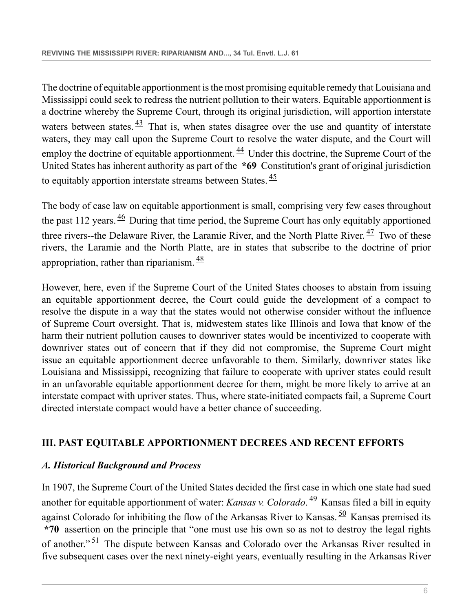<span id="page-5-2"></span>The doctrine of equitable apportionment is the most promising equitable remedy that Louisiana and Mississippi could seek to redress the nutrient pollution to their waters. Equitable apportionment is a doctrine whereby the Supreme Court, through its original jurisdiction, will apportion interstate waters between states.  $\frac{43}{1}$  $\frac{43}{1}$  $\frac{43}{1}$  That is, when states disagree over the use and quantity of interstate waters, they may call upon the Supreme Court to resolve the water dispute, and the Court will employ the doctrine of equitable apportionment.  $\frac{44}{3}$  $\frac{44}{3}$  $\frac{44}{3}$  Under this doctrine, the Supreme Court of the United States has inherent authority as part of the **\*69** Constitution's grant of original jurisdiction to equitably apportion interstate streams between States.  $\frac{45}{5}$  $\frac{45}{5}$  $\frac{45}{5}$ 

<span id="page-5-6"></span><span id="page-5-5"></span><span id="page-5-4"></span><span id="page-5-3"></span>The body of case law on equitable apportionment is small, comprising very few cases throughout the past 112 years.  $\frac{46}{12}$  $\frac{46}{12}$  $\frac{46}{12}$  During that time period, the Supreme Court has only equitably apportioned three rivers--the Delaware River, the Laramie River, and the North Platte River.  $\frac{47}{1}$  $\frac{47}{1}$  $\frac{47}{1}$  Two of these rivers, the Laramie and the North Platte, are in states that subscribe to the doctrine of prior appropriation, rather than riparianism.  $\frac{48}{3}$  $\frac{48}{3}$  $\frac{48}{3}$ 

<span id="page-5-7"></span>However, here, even if the Supreme Court of the United States chooses to abstain from issuing an equitable apportionment decree, the Court could guide the development of a compact to resolve the dispute in a way that the states would not otherwise consider without the influence of Supreme Court oversight. That is, midwestem states like Illinois and Iowa that know of the harm their nutrient pollution causes to downriver states would be incentivized to cooperate with downriver states out of concern that if they did not compromise, the Supreme Court might issue an equitable apportionment decree unfavorable to them. Similarly, downriver states like Louisiana and Mississippi, recognizing that failure to cooperate with upriver states could result in an unfavorable equitable apportionment decree for them, might be more likely to arrive at an interstate compact with upriver states. Thus, where state-initiated compacts fail, a Supreme Court directed interstate compact would have a better chance of succeeding.

#### <span id="page-5-0"></span>**III. PAST EQUITABLE APPORTIONMENT DECREES AND RECENT EFFORTS**

#### <span id="page-5-1"></span>*A. Historical Background and Process*

<span id="page-5-10"></span><span id="page-5-9"></span><span id="page-5-8"></span>In 1907, the Supreme Court of the United States decided the first case in which one state had sued another for equitable apportionment of water: *Kansas v. Colorado*. [49](#page-21-11) Kansas filed a bill in equity against Colorado for inhibiting the flow of the Arkansas River to Kansas.  $\frac{50}{10}$  $\frac{50}{10}$  $\frac{50}{10}$  Kansas premised its **\*70** assertion on the principle that "one must use his own so as not to destroy the legal rights of another."<sup>[51](#page-21-13)</sup> The dispute between Kansas and Colorado over the Arkansas River resulted in five subsequent cases over the next ninety-eight years, eventually resulting in the Arkansas River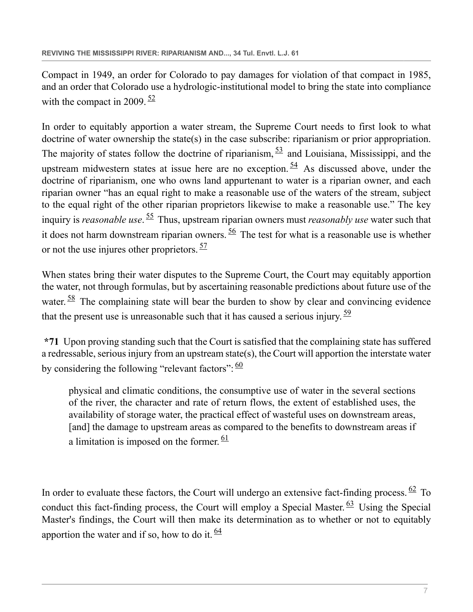<span id="page-6-0"></span>Compact in 1949, an order for Colorado to pay damages for violation of that compact in 1985, and an order that Colorado use a hydrologic-institutional model to bring the state into compliance with the compact in 2009.  $\frac{52}{5}$  $\frac{52}{5}$  $\frac{52}{5}$ 

<span id="page-6-2"></span><span id="page-6-1"></span>In order to equitably apportion a water stream, the Supreme Court needs to first look to what doctrine of water ownership the state(s) in the case subscribe: riparianism or prior appropriation. The majority of states follow the doctrine of riparianism,  $\frac{53}{2}$  $\frac{53}{2}$  $\frac{53}{2}$  and Louisiana, Mississippi, and the upstream midwestern states at issue here are no exception.  $54$  As discussed above, under the doctrine of riparianism, one who owns land appurtenant to water is a riparian owner, and each riparian owner "has an equal right to make a reasonable use of the waters of the stream, subject to the equal right of the other riparian proprietors likewise to make a reasonable use." The key inquiry is *reasonable use*. [55](#page-22-0) Thus, upstream riparian owners must *reasonably use* water such that it does not harm downstream riparian owners.  $\frac{56}{10}$  $\frac{56}{10}$  $\frac{56}{10}$  The test for what is a reasonable use is whether or not the use injures other proprietors.  $\frac{57}{57}$  $\frac{57}{57}$  $\frac{57}{57}$ 

<span id="page-6-6"></span><span id="page-6-5"></span><span id="page-6-4"></span><span id="page-6-3"></span>When states bring their water disputes to the Supreme Court, the Court may equitably apportion the water, not through formulas, but by ascertaining reasonable predictions about future use of the water. <sup>[58](#page-22-3)</sup> The complaining state will bear the burden to show by clear and convincing evidence that the present use is unreasonable such that it has caused a serious injury.  $\frac{59}{2}$  $\frac{59}{2}$  $\frac{59}{2}$ 

**\*71** Upon proving standing such that the Court is satisfied that the complaining state has suffered a redressable, serious injury from an upstream state(s), the Court will apportion the interstate water by considering the following "relevant factors":  $\frac{60}{60}$  $\frac{60}{60}$  $\frac{60}{60}$ 

<span id="page-6-11"></span><span id="page-6-10"></span><span id="page-6-9"></span><span id="page-6-8"></span><span id="page-6-7"></span>physical and climatic conditions, the consumptive use of water in the several sections of the river, the character and rate of return flows, the extent of established uses, the availability of storage water, the practical effect of wasteful uses on downstream areas, [and] the damage to upstream areas as compared to the benefits to downstream areas if a limitation is imposed on the former.  $\frac{61}{61}$  $\frac{61}{61}$  $\frac{61}{61}$ 

<span id="page-6-12"></span>In order to evaluate these factors, the Court will undergo an extensive fact-finding process.  $62$  To conduct this fact-finding process, the Court will employ a Special Master.  $63$  Using the Special Master's findings, the Court will then make its determination as to whether or not to equitably apportion the water and if so, how to do it.  $\frac{64}{3}$  $\frac{64}{3}$  $\frac{64}{3}$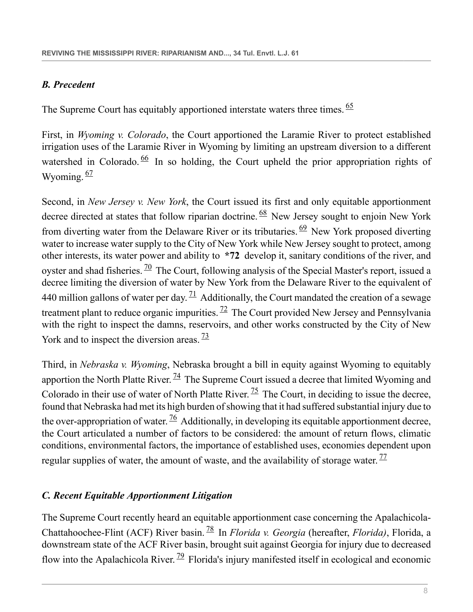# <span id="page-7-0"></span>*B. Precedent*

<span id="page-7-2"></span>The Supreme Court has equitably apportioned interstate waters three times. <sup>[65](#page-22-10)</sup>

<span id="page-7-3"></span>First, in *Wyoming v. Colorado*, the Court apportioned the Laramie River to protect established irrigation uses of the Laramie River in Wyoming by limiting an upstream diversion to a different watershed in Colorado.  $\frac{66}{ }$  $\frac{66}{ }$  $\frac{66}{ }$  In so holding, the Court upheld the prior appropriation rights of Wyoming.  $\frac{67}{2}$  $\frac{67}{2}$  $\frac{67}{2}$ 

<span id="page-7-7"></span><span id="page-7-6"></span><span id="page-7-5"></span><span id="page-7-4"></span>Second, in *New Jersey v. New York*, the Court issued its first and only equitable apportionment decree directed at states that follow riparian doctrine.  $68$  New Jersey sought to enjoin New York from diverting water from the Delaware River or its tributaries.  $69$  New York proposed diverting water to increase water supply to the City of New York while New Jersey sought to protect, among other interests, its water power and ability to **\*72** develop it, sanitary conditions of the river, and oyster and shad fisheries.  $\frac{70}{10}$  $\frac{70}{10}$  $\frac{70}{10}$  The Court, following analysis of the Special Master's report, issued a decree limiting the diversion of water by New York from the Delaware River to the equivalent of 440 million gallons of water per day.  $\frac{71}{4}$  $\frac{71}{4}$  $\frac{71}{4}$  Additionally, the Court mandated the creation of a sewage treatment plant to reduce organic impurities.  $^{72}$  $^{72}$  $^{72}$  The Court provided New Jersey and Pennsylvania with the right to inspect the damns, reservoirs, and other works constructed by the City of New York and to inspect the diversion areas.  $\frac{73}{2}$  $\frac{73}{2}$  $\frac{73}{2}$ 

<span id="page-7-13"></span><span id="page-7-12"></span><span id="page-7-11"></span><span id="page-7-10"></span><span id="page-7-9"></span><span id="page-7-8"></span>Third, in *Nebraska v. Wyoming*, Nebraska brought a bill in equity against Wyoming to equitably apportion the North Platte River.  $\frac{74}{9}$  $\frac{74}{9}$  $\frac{74}{9}$  The Supreme Court issued a decree that limited Wyoming and Colorado in their use of water of North Platte River.  $\frac{75}{2}$  $\frac{75}{2}$  $\frac{75}{2}$  The Court, in deciding to issue the decree, found that Nebraska had met its high burden of showing that it had suffered substantial injury due to the over-appropriation of water.  $\frac{76}{9}$  $\frac{76}{9}$  $\frac{76}{9}$  Additionally, in developing its equitable apportionment decree, the Court articulated a number of factors to be considered: the amount of return flows, climatic conditions, environmental factors, the importance of established uses, economies dependent upon regular supplies of water, the amount of waste, and the availability of storage water.  $\frac{77}{1}$  $\frac{77}{1}$  $\frac{77}{1}$ 

# <span id="page-7-14"></span><span id="page-7-1"></span>*C. Recent Equitable Apportionment Litigation*

<span id="page-7-16"></span><span id="page-7-15"></span>The Supreme Court recently heard an equitable apportionment case concerning the Apalachicola-Chattahoochee-Flint (ACF) River basin. [78](#page-23-4) In *Florida v. Georgia* (hereafter, *Florida)*, Florida, a downstream state of the ACF River basin, brought suit against Georgia for injury due to decreased flow into the Apalachicola River.  $\frac{79}{2}$  $\frac{79}{2}$  $\frac{79}{2}$  Florida's injury manifested itself in ecological and economic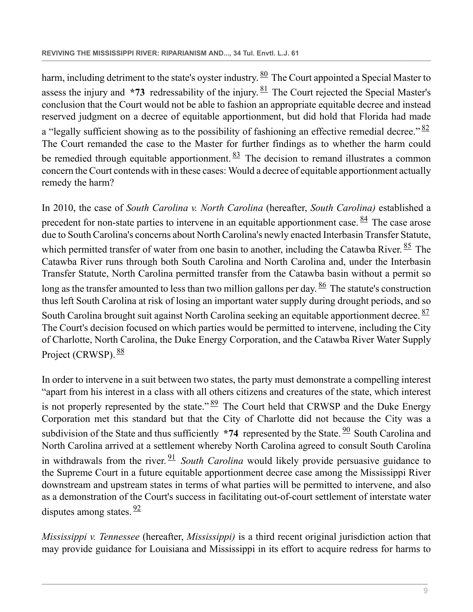<span id="page-8-2"></span><span id="page-8-1"></span><span id="page-8-0"></span>harm, including detriment to the state's oyster industry.  $\frac{80}{2}$  $\frac{80}{2}$  $\frac{80}{2}$  The Court appointed a Special Master to assess the injury and  $*73$  redressability of the injury.  $81$  The Court rejected the Special Master's conclusion that the Court would not be able to fashion an appropriate equitable decree and instead reserved judgment on a decree of equitable apportionment, but did hold that Florida had made a "legally sufficient showing as to the possibility of fashioning an effective remedial decree."  $\frac{82}{ }$  $\frac{82}{ }$  $\frac{82}{ }$ The Court remanded the case to the Master for further findings as to whether the harm could be remedied through equitable apportionment.  $\frac{83}{8}$  $\frac{83}{8}$  $\frac{83}{8}$  The decision to remand illustrates a common concern the Court contends with in these cases: Would a decree of equitable apportionment actually remedy the harm?

<span id="page-8-6"></span><span id="page-8-5"></span><span id="page-8-4"></span><span id="page-8-3"></span>In 2010, the case of *South Carolina v. North Carolina* (hereafter, *South Carolina)* established a precedent for non-state parties to intervene in an equitable apportionment case.  $\frac{84}{3}$  $\frac{84}{3}$  $\frac{84}{3}$  The case arose due to South Carolina's concerns about North Carolina's newly enacted Interbasin Transfer Statute, which permitted transfer of water from one basin to another, including the Catawba River.  $85$  The Catawba River runs through both South Carolina and North Carolina and, under the Interbasin Transfer Statute, North Carolina permitted transfer from the Catawba basin without a permit so long as the transfer amounted to less than two million gallons per day.  $\frac{86}{3}$  $\frac{86}{3}$  $\frac{86}{3}$  The statute's construction thus left South Carolina at risk of losing an important water supply during drought periods, and so South Carolina brought suit against North Carolina seeking an equitable apportionment decree. <sup>[87](#page-23-13)</sup> The Court's decision focused on which parties would be permitted to intervene, including the City of Charlotte, North Carolina, the Duke Energy Corporation, and the Catawba River Water Supply Project (CRWSP). [88](#page-23-14)

<span id="page-8-11"></span><span id="page-8-10"></span><span id="page-8-9"></span><span id="page-8-8"></span><span id="page-8-7"></span>In order to intervene in a suit between two states, the party must demonstrate a compelling interest "apart from his interest in a class with all others citizens and creatures of the state, which interest is not properly represented by the state."  $\frac{89}{2}$  $\frac{89}{2}$  $\frac{89}{2}$  The Court held that CRWSP and the Duke Energy Corporation met this standard but that the City of Charlotte did not because the City was a subdivision of the State and thus sufficiently \*74 represented by the State. <sup>[90](#page-23-16)</sup> South Carolina and North Carolina arrived at a settlement whereby North Carolina agreed to consult South Carolina in withdrawals from the river. [91](#page-23-17) *South Carolina* would likely provide persuasive guidance to the Supreme Court in a future equitable apportionment decree case among the Mississippi River downstream and upstream states in terms of what parties will be permitted to intervene, and also as a demonstration of the Court's success in facilitating out-of-court settlement of interstate water disputes among states.  $\frac{92}{3}$  $\frac{92}{3}$  $\frac{92}{3}$ 

<span id="page-8-12"></span>*Mississippi v. Tennessee* (hereafter, *Mississippi)* is a third recent original jurisdiction action that may provide guidance for Louisiana and Mississippi in its effort to acquire redress for harms to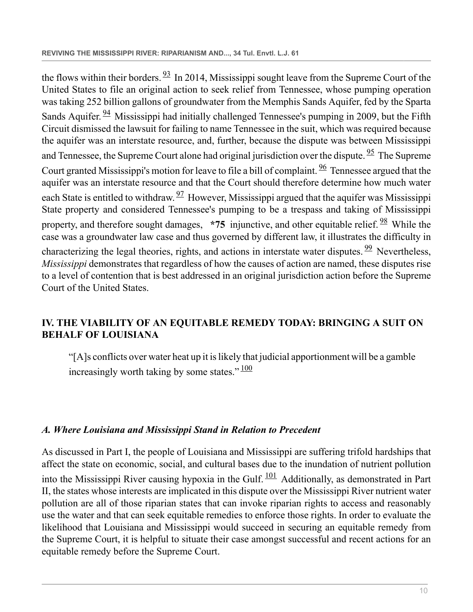<span id="page-9-6"></span><span id="page-9-5"></span><span id="page-9-4"></span><span id="page-9-3"></span><span id="page-9-2"></span>the flows within their borders.  $\frac{93}{1}$  $\frac{93}{1}$  $\frac{93}{1}$  In 2014, Mississippi sought leave from the Supreme Court of the United States to file an original action to seek relief from Tennessee, whose pumping operation was taking 252 billion gallons of groundwater from the Memphis Sands Aquifer, fed by the Sparta Sands Aquifer.  $\frac{94}{9}$  $\frac{94}{9}$  $\frac{94}{9}$  Mississippi had initially challenged Tennessee's pumping in 2009, but the Fifth Circuit dismissed the lawsuit for failing to name Tennessee in the suit, which was required because the aquifer was an interstate resource, and, further, because the dispute was between Mississippi and Tennessee, the Supreme Court alone had original jurisdiction over the dispute.  $\frac{95}{2}$  $\frac{95}{2}$  $\frac{95}{2}$  The Supreme Court granted Mississippi's motion for leave to file a bill of complaint.  $\frac{96}{9}$  $\frac{96}{9}$  $\frac{96}{9}$  Tennessee argued that the aquifer was an interstate resource and that the Court should therefore determine how much water each State is entitled to withdraw.  $\frac{97}{2}$  $\frac{97}{2}$  $\frac{97}{2}$  However, Mississippi argued that the aquifer was Mississippi State property and considered Tennessee's pumping to be a trespass and taking of Mississippi property, and therefore sought damages, \*75 injunctive, and other equitable relief. <sup>[98](#page-24-3)</sup> While the case was a groundwater law case and thus governed by different law, it illustrates the difficulty in characterizing the legal theories, rights, and actions in interstate water disputes.  $\frac{99}{9}$  $\frac{99}{9}$  $\frac{99}{9}$  Nevertheless, *Mississippi* demonstrates that regardless of how the causes of action are named, these disputes rise to a level of contention that is best addressed in an original jurisdiction action before the Supreme Court of the United States.

# <span id="page-9-0"></span>**IV. THE VIABILITY OF AN EQUITABLE REMEDY TODAY: BRINGING A SUIT ON BEHALF OF LOUISIANA**

<span id="page-9-9"></span><span id="page-9-8"></span><span id="page-9-7"></span>"[A]s conflicts over water heat up it is likely that judicial apportionment will be a gamble increasingly worth taking by some states."  $\frac{100}{100}$  $\frac{100}{100}$  $\frac{100}{100}$ 

#### <span id="page-9-1"></span>*A. Where Louisiana and Mississippi Stand in Relation to Precedent*

<span id="page-9-10"></span>As discussed in Part I, the people of Louisiana and Mississippi are suffering trifold hardships that affect the state on economic, social, and cultural bases due to the inundation of nutrient pollution into the Mississippi River causing hypoxia in the Gulf.  $\frac{101}{2}$  $\frac{101}{2}$  $\frac{101}{2}$  Additionally, as demonstrated in Part II, the states whose interests are implicated in this dispute over the Mississippi River nutrient water pollution are all of those riparian states that can invoke riparian rights to access and reasonably use the water and that can seek equitable remedies to enforce those rights. In order to evaluate the likelihood that Louisiana and Mississippi would succeed in securing an equitable remedy from the Supreme Court, it is helpful to situate their case amongst successful and recent actions for an equitable remedy before the Supreme Court.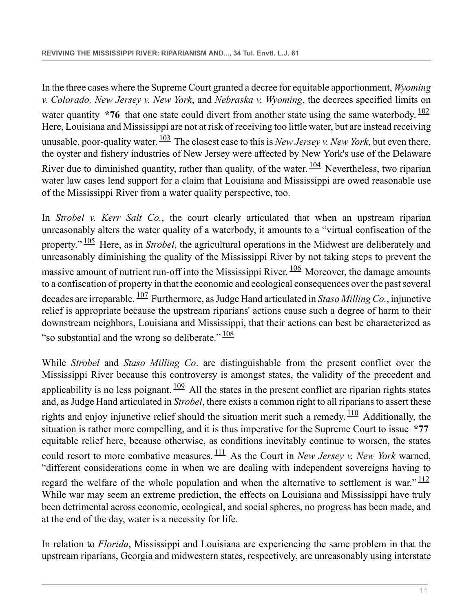<span id="page-10-1"></span><span id="page-10-0"></span>In the three cases where the Supreme Court granted a decree for equitable apportionment, *Wyoming v. Colorado, New Jersey v. New York*, and *Nebraska v. Wyoming*, the decrees specified limits on water quantity  $*76$  that one state could divert from another state using the same waterbody.  $\frac{102}{102}$  $\frac{102}{102}$  $\frac{102}{102}$ Here, Louisiana and Mississippi are not at risk of receiving too little water, but are instead receiving unusable, poor-quality water. [103](#page-24-8) The closest case to this is *New Jersey v. New York*, but even there, the oyster and fishery industries of New Jersey were affected by New York's use of the Delaware River due to diminished quantity, rather than quality, of the water.  $\frac{104}{104}$  $\frac{104}{104}$  $\frac{104}{104}$  Nevertheless, two riparian water law cases lend support for a claim that Louisiana and Mississippi are owed reasonable use of the Mississippi River from a water quality perspective, too.

<span id="page-10-4"></span><span id="page-10-3"></span><span id="page-10-2"></span>In *Strobel v. Kerr Salt Co.*, the court clearly articulated that when an upstream riparian unreasonably alters the water quality of a waterbody, it amounts to a "virtual confiscation of the property." [105](#page-24-10) Here, as in *Strobel*, the agricultural operations in the Midwest are deliberately and unreasonably diminishing the quality of the Mississippi River by not taking steps to prevent the massive amount of nutrient run-off into the Mississippi River.  $\frac{106}{100}$  $\frac{106}{100}$  $\frac{106}{100}$  Moreover, the damage amounts to a confiscation of property in that the economic and ecological consequences over the past several decades are irreparable. [107](#page-24-12) Furthermore, as Judge Hand articulated in *Staso Milling Co.*, injunctive relief is appropriate because the upstream riparians' actions cause such a degree of harm to their downstream neighbors, Louisiana and Mississippi, that their actions can best be characterized as "so substantial and the wrong so deliberate."  $\frac{108}{108}$  $\frac{108}{108}$  $\frac{108}{108}$ 

<span id="page-10-9"></span><span id="page-10-8"></span><span id="page-10-7"></span><span id="page-10-6"></span><span id="page-10-5"></span>While *Strobel* and *Staso Milling Co*. are distinguishable from the present conflict over the Mississippi River because this controversy is amongst states, the validity of the precedent and applicability is no less poignant.  $\frac{109}{2}$  $\frac{109}{2}$  $\frac{109}{2}$  All the states in the present conflict are riparian rights states and, as Judge Hand articulated in *Strobel*, there exists a common right to all riparians to assert these rights and enjoy injunctive relief should the situation merit such a remedy.  $\frac{110}{10}$  $\frac{110}{10}$  $\frac{110}{10}$  Additionally, the situation is rather more compelling, and it is thus imperative for the Supreme Court to issue **\*77** equitable relief here, because otherwise, as conditions inevitably continue to worsen, the states could resort to more combative measures. [111](#page-24-16) As the Court in *New Jersey v. New York* warned, "different considerations come in when we are dealing with independent sovereigns having to regard the welfare of the whole population and when the alternative to settlement is war." $\frac{112}{112}$  $\frac{112}{112}$  $\frac{112}{112}$ While war may seem an extreme prediction, the effects on Louisiana and Mississippi have truly been detrimental across economic, ecological, and social spheres, no progress has been made, and at the end of the day, water is a necessity for life.

<span id="page-10-10"></span>In relation to *Florida*, Mississippi and Louisiana are experiencing the same problem in that the upstream riparians, Georgia and midwestern states, respectively, are unreasonably using interstate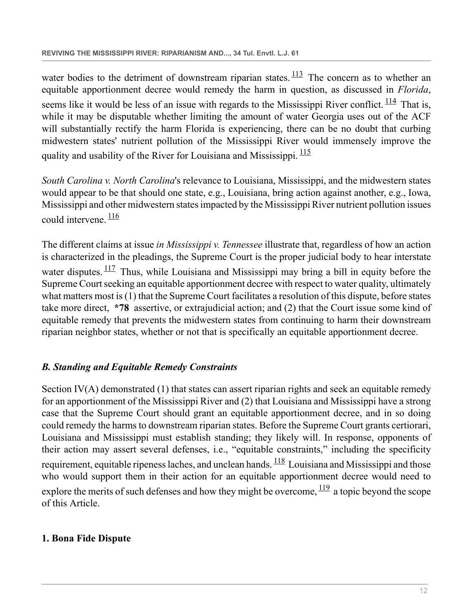<span id="page-11-3"></span><span id="page-11-2"></span>water bodies to the detriment of downstream riparian states.  $\frac{113}{12}$  $\frac{113}{12}$  $\frac{113}{12}$  The concern as to whether an equitable apportionment decree would remedy the harm in question, as discussed in *Florida*, seems like it would be less of an issue with regards to the Mississippi River conflict.  $\frac{114}{114}$  $\frac{114}{114}$  $\frac{114}{114}$  That is, while it may be disputable whether limiting the amount of water Georgia uses out of the ACF will substantially rectify the harm Florida is experiencing, there can be no doubt that curbing midwestern states' nutrient pollution of the Mississippi River would immensely improve the quality and usability of the River for Louisiana and Mississippi.  $\frac{115}{115}$  $\frac{115}{115}$  $\frac{115}{115}$ 

<span id="page-11-4"></span>*South Carolina v. North Carolina*'s relevance to Louisiana, Mississippi, and the midwestern states would appear to be that should one state, e.g., Louisiana, bring action against another, e.g., Iowa, Mississippi and other midwestern states impacted by the Mississippi River nutrient pollution issues could intervene.  $\frac{116}{1}$  $\frac{116}{1}$  $\frac{116}{1}$ 

<span id="page-11-6"></span><span id="page-11-5"></span>The different claims at issue *in Mississippi v. Tennessee* illustrate that, regardless of how an action is characterized in the pleadings, the Supreme Court is the proper judicial body to hear interstate water disputes.  $\frac{117}{112}$  $\frac{117}{112}$  $\frac{117}{112}$  Thus, while Louisiana and Mississippi may bring a bill in equity before the Supreme Court seeking an equitable apportionment decree with respect to water quality, ultimately what matters most is (1) that the Supreme Court facilitates a resolution of this dispute, before states take more direct, **\*78** assertive, or extrajudicial action; and (2) that the Court issue some kind of equitable remedy that prevents the midwestern states from continuing to harm their downstream riparian neighbor states, whether or not that is specifically an equitable apportionment decree.

# <span id="page-11-0"></span>*B. Standing and Equitable Remedy Constraints*

<span id="page-11-7"></span>Section IV(A) demonstrated (1) that states can assert riparian rights and seek an equitable remedy for an apportionment of the Mississippi River and (2) that Louisiana and Mississippi have a strong case that the Supreme Court should grant an equitable apportionment decree, and in so doing could remedy the harms to downstream riparian states. Before the Supreme Court grants certiorari, Louisiana and Mississippi must establish standing; they likely will. In response, opponents of their action may assert several defenses, i.e., "equitable constraints," including the specificity requirement, equitable ripeness laches, and unclean hands.  $\frac{118}{2}$  $\frac{118}{2}$  $\frac{118}{2}$  Louisiana and Mississippi and those who would support them in their action for an equitable apportionment decree would need to explore the merits of such defenses and how they might be overcome,  $\frac{119}{12}$  $\frac{119}{12}$  $\frac{119}{12}$  a topic beyond the scope of this Article.

# <span id="page-11-8"></span><span id="page-11-1"></span>**1. Bona Fide Dispute**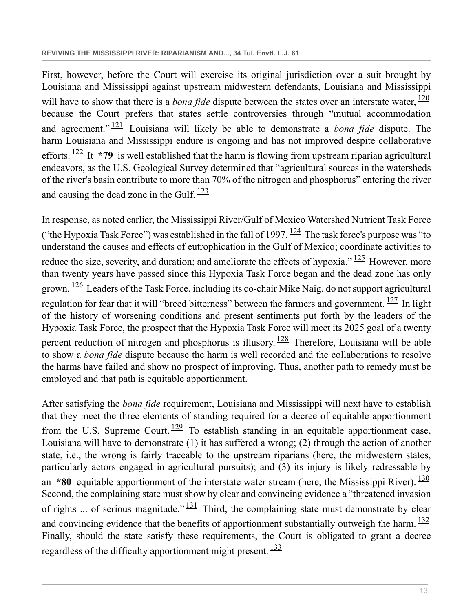<span id="page-12-1"></span><span id="page-12-0"></span>First, however, before the Court will exercise its original jurisdiction over a suit brought by Louisiana and Mississippi against upstream midwestern defendants, Louisiana and Mississippi will have to show that there is a *bona fide* dispute between the states over an interstate water,  $\frac{120}{120}$  $\frac{120}{120}$  $\frac{120}{120}$ because the Court prefers that states settle controversies through "mutual accommodation and agreement." [121](#page-25-9) Louisiana will likely be able to demonstrate a *bona fide* dispute. The harm Louisiana and Mississippi endure is ongoing and has not improved despite collaborative efforts. [122](#page-25-10) It **\*79** is well established that the harm is flowing from upstream riparian agricultural endeavors, as the U.S. Geological Survey determined that "agricultural sources in the watersheds of the river's basin contribute to more than 70% of the nitrogen and phosphorus" entering the river and causing the dead zone in the Gulf.  $\frac{123}{2}$  $\frac{123}{2}$  $\frac{123}{2}$ 

<span id="page-12-7"></span><span id="page-12-6"></span><span id="page-12-5"></span><span id="page-12-4"></span><span id="page-12-3"></span><span id="page-12-2"></span>In response, as noted earlier, the Mississippi River/Gulf of Mexico Watershed Nutrient Task Force ("the Hypoxia Task Force") was established in the fall of 1997.  $\frac{124}{124}$  $\frac{124}{124}$  $\frac{124}{124}$  The task force's purpose was "to" understand the causes and effects of eutrophication in the Gulf of Mexico; coordinate activities to reduce the size, severity, and duration; and ameliorate the effects of hypoxia." <sup>[125](#page-25-13)</sup> However, more than twenty years have passed since this Hypoxia Task Force began and the dead zone has only grown. [126](#page-25-14) Leaders of the Task Force, including its co-chair Mike Naig, do not support agricultural regulation for fear that it will "breed bitterness" between the farmers and government.  $127$  In light of the history of worsening conditions and present sentiments put forth by the leaders of the Hypoxia Task Force, the prospect that the Hypoxia Task Force will meet its 2025 goal of a twenty percent reduction of nitrogen and phosphorus is illusory.  $\frac{128}{2}$  $\frac{128}{2}$  $\frac{128}{2}$  Therefore, Louisiana will be able to show a *bona fide* dispute because the harm is well recorded and the collaborations to resolve the harms have failed and show no prospect of improving. Thus, another path to remedy must be employed and that path is equitable apportionment.

<span id="page-12-13"></span><span id="page-12-12"></span><span id="page-12-11"></span><span id="page-12-10"></span><span id="page-12-9"></span><span id="page-12-8"></span>After satisfying the *bona fide* requirement, Louisiana and Mississippi will next have to establish that they meet the three elements of standing required for a decree of equitable apportionment from the U.S. Supreme Court.  $\frac{129}{10}$  $\frac{129}{10}$  $\frac{129}{10}$  To establish standing in an equitable apportionment case, Louisiana will have to demonstrate (1) it has suffered a wrong; (2) through the action of another state, i.e., the wrong is fairly traceable to the upstream riparians (here, the midwestern states, particularly actors engaged in agricultural pursuits); and (3) its injury is likely redressable by an  $*80$  equitable apportionment of the interstate water stream (here, the Mississippi River).  $\frac{130}{130}$  $\frac{130}{130}$  $\frac{130}{130}$ Second, the complaining state must show by clear and convincing evidence a "threatened invasion of rights ... of serious magnitude."  $\frac{131}{2}$  $\frac{131}{2}$  $\frac{131}{2}$  Third, the complaining state must demonstrate by clear and convincing evidence that the benefits of apportionment substantially outweigh the harm.  $\frac{132}{12}$  $\frac{132}{12}$  $\frac{132}{12}$ Finally, should the state satisfy these requirements, the Court is obligated to grant a decree regardless of the difficulty apportionment might present.  $\frac{133}{2}$  $\frac{133}{2}$  $\frac{133}{2}$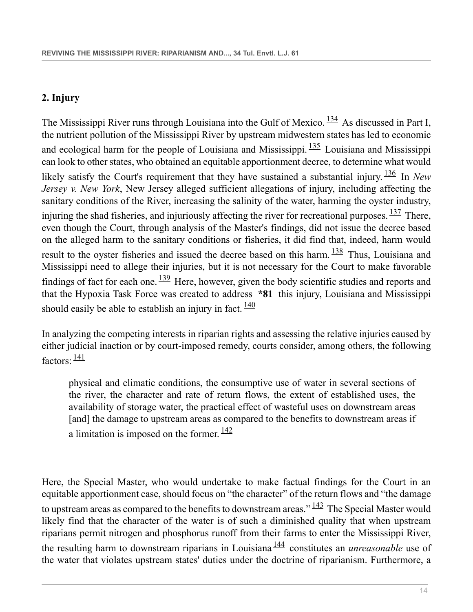## <span id="page-13-0"></span>**2. Injury**

<span id="page-13-4"></span><span id="page-13-3"></span><span id="page-13-2"></span><span id="page-13-1"></span>The Mississippi River runs through Louisiana into the Gulf of Mexico.  $\frac{134}{4}$  $\frac{134}{4}$  $\frac{134}{4}$  As discussed in Part I, the nutrient pollution of the Mississippi River by upstream midwestern states has led to economic and ecological harm for the people of Louisiana and Mississippi.  $\frac{135}{2}$  $\frac{135}{2}$  $\frac{135}{2}$  Louisiana and Mississippi can look to other states, who obtained an equitable apportionment decree, to determine what would likely satisfy the Court's requirement that they have sustained a substantial injury. <sup>[136](#page-26-7)</sup> In *New Jersey v. New York*, New Jersey alleged sufficient allegations of injury, including affecting the sanitary conditions of the River, increasing the salinity of the water, harming the oyster industry, injuring the shad fisheries, and injuriously affecting the river for recreational purposes.  $\frac{137}{137}$  $\frac{137}{137}$  $\frac{137}{137}$  There, even though the Court, through analysis of the Master's findings, did not issue the decree based on the alleged harm to the sanitary conditions or fisheries, it did find that, indeed, harm would result to the oyster fisheries and issued the decree based on this harm. <sup>[138](#page-26-9)</sup> Thus, Louisiana and Mississippi need to allege their injuries, but it is not necessary for the Court to make favorable findings of fact for each one.  $\frac{139}{2}$  $\frac{139}{2}$  $\frac{139}{2}$  Here, however, given the body scientific studies and reports and that the Hypoxia Task Force was created to address **\*81** this injury, Louisiana and Mississippi should easily be able to establish an injury in fact.  $\frac{140}{140}$  $\frac{140}{140}$  $\frac{140}{140}$ 

<span id="page-13-6"></span>In analyzing the competing interests in riparian rights and assessing the relative injuries caused by either judicial inaction or by court-imposed remedy, courts consider, among others, the following factors:  $\frac{141}{ }$  $\frac{141}{ }$  $\frac{141}{ }$ 

<span id="page-13-9"></span><span id="page-13-8"></span><span id="page-13-7"></span><span id="page-13-5"></span>physical and climatic conditions, the consumptive use of water in several sections of the river, the character and rate of return flows, the extent of established uses, the availability of storage water, the practical effect of wasteful uses on downstream areas [and] the damage to upstream areas as compared to the benefits to downstream areas if a limitation is imposed on the former.  $\frac{142}{142}$  $\frac{142}{142}$  $\frac{142}{142}$ 

<span id="page-13-11"></span><span id="page-13-10"></span>Here, the Special Master, who would undertake to make factual findings for the Court in an equitable apportionment case, should focus on "the character" of the return flows and "the damage to upstream areas as compared to the benefits to downstream areas."  $\frac{143}{10}$  $\frac{143}{10}$  $\frac{143}{10}$  The Special Master would likely find that the character of the water is of such a diminished quality that when upstream riparians permit nitrogen and phosphorus runoff from their farms to enter the Mississippi River, the resulting harm to downstream riparians in Louisiana [144](#page-26-15) constitutes an *unreasonable* use of the water that violates upstream states' duties under the doctrine of riparianism. Furthermore, a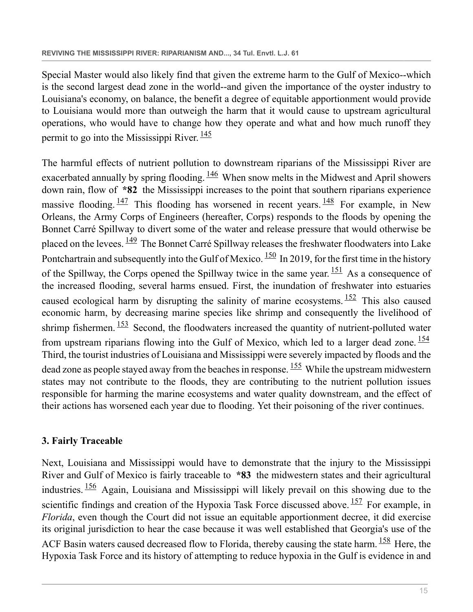Special Master would also likely find that given the extreme harm to the Gulf of Mexico--which is the second largest dead zone in the world--and given the importance of the oyster industry to Louisiana's economy, on balance, the benefit a degree of equitable apportionment would provide to Louisiana would more than outweigh the harm that it would cause to upstream agricultural operations, who would have to change how they operate and what and how much runoff they permit to go into the Mississippi River.  $\frac{145}{12}$  $\frac{145}{12}$  $\frac{145}{12}$ 

<span id="page-14-8"></span><span id="page-14-7"></span><span id="page-14-6"></span><span id="page-14-5"></span><span id="page-14-4"></span><span id="page-14-3"></span><span id="page-14-2"></span><span id="page-14-1"></span>The harmful effects of nutrient pollution to downstream riparians of the Mississippi River are exacerbated annually by spring flooding.  $\frac{146}{100}$  $\frac{146}{100}$  $\frac{146}{100}$  When snow melts in the Midwest and April showers down rain, flow of **\*82** the Mississippi increases to the point that southern riparians experience massive flooding.  $\frac{147}{10}$  $\frac{147}{10}$  $\frac{147}{10}$  This flooding has worsened in recent years.  $\frac{148}{10}$  $\frac{148}{10}$  $\frac{148}{10}$  For example, in New Orleans, the Army Corps of Engineers (hereafter, Corps) responds to the floods by opening the Bonnet Carré Spillway to divert some of the water and release pressure that would otherwise be placed on the levees.  $\frac{149}{12}$  $\frac{149}{12}$  $\frac{149}{12}$  The Bonnet Carré Spillway releases the freshwater floodwaters into Lake Pontchartrain and subsequently into the Gulf of Mexico. <sup>[150](#page-27-2)</sup> In 2019, for the first time in the history of the Spillway, the Corps opened the Spillway twice in the same year.  $\frac{151}{15}$  $\frac{151}{15}$  $\frac{151}{15}$  As a consequence of the increased flooding, several harms ensued. First, the inundation of freshwater into estuaries caused ecological harm by disrupting the salinity of marine ecosystems.  $152$  This also caused economic harm, by decreasing marine species like shrimp and consequently the livelihood of shrimp fishermen.  $153$  Second, the floodwaters increased the quantity of nutrient-polluted water from upstream riparians flowing into the Gulf of Mexico, which led to a larger dead zone.  $\frac{154}{154}$  $\frac{154}{154}$  $\frac{154}{154}$ Third, the tourist industries of Louisiana and Mississippi were severely impacted by floods and the dead zone as people stayed away from the beaches in response.  $155$  While the upstream midwestern states may not contribute to the floods, they are contributing to the nutrient pollution issues responsible for harming the marine ecosystems and water quality downstream, and the effect of their actions has worsened each year due to flooding. Yet their poisoning of the river continues.

#### <span id="page-14-11"></span><span id="page-14-10"></span><span id="page-14-9"></span><span id="page-14-0"></span>**3. Fairly Traceable**

<span id="page-14-14"></span><span id="page-14-13"></span><span id="page-14-12"></span>Next, Louisiana and Mississippi would have to demonstrate that the injury to the Mississippi River and Gulf of Mexico is fairly traceable to **\*83** the midwestern states and their agricultural industries.  $\frac{156}{156}$  $\frac{156}{156}$  $\frac{156}{156}$  Again, Louisiana and Mississippi will likely prevail on this showing due to the scientific findings and creation of the Hypoxia Task Force discussed above. <sup>[157](#page-27-9)</sup> For example, in *Florida*, even though the Court did not issue an equitable apportionment decree, it did exercise its original jurisdiction to hear the case because it was well established that Georgia's use of the ACF Basin waters caused decreased flow to Florida, thereby causing the state harm. <sup>[158](#page-27-10)</sup> Here, the Hypoxia Task Force and its history of attempting to reduce hypoxia in the Gulf is evidence in and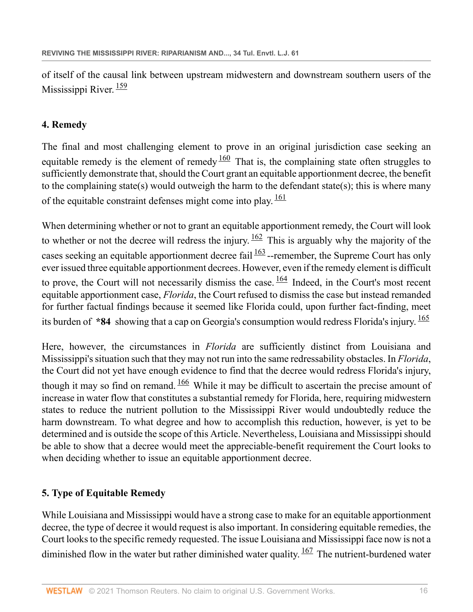<span id="page-15-2"></span>of itself of the causal link between upstream midwestern and downstream southern users of the Mississippi River.  $\frac{159}{159}$  $\frac{159}{159}$  $\frac{159}{159}$ 

#### <span id="page-15-0"></span>**4. Remedy**

<span id="page-15-3"></span>The final and most challenging element to prove in an original jurisdiction case seeking an equitable remedy is the element of remedy  $\frac{160}{160}$  $\frac{160}{160}$  $\frac{160}{160}$  That is, the complaining state often struggles to sufficiently demonstrate that, should the Court grant an equitable apportionment decree, the benefit to the complaining state(s) would outweigh the harm to the defendant state(s); this is where many of the equitable constraint defenses might come into play.  $\frac{161}{161}$  $\frac{161}{161}$  $\frac{161}{161}$ 

<span id="page-15-7"></span><span id="page-15-6"></span><span id="page-15-5"></span><span id="page-15-4"></span>When determining whether or not to grant an equitable apportionment remedy, the Court will look to whether or not the decree will redress the injury.  $\frac{162}{162}$  $\frac{162}{162}$  $\frac{162}{162}$  This is arguably why the majority of the cases seeking an equitable apportionment decree fail  $\frac{163}{162}$  $\frac{163}{162}$  $\frac{163}{162}$ -remember, the Supreme Court has only ever issued three equitable apportionment decrees. However, even if the remedy element is difficult to prove, the Court will not necessarily dismiss the case.  $\frac{164}{101}$  $\frac{164}{101}$  $\frac{164}{101}$  Indeed, in the Court's most recent equitable apportionment case, *Florida*, the Court refused to dismiss the case but instead remanded for further factual findings because it seemed like Florida could, upon further fact-finding, meet its burden of **\*84** showing that a cap on Georgia's consumption would redress Florida's injury. [165](#page-27-17)

<span id="page-15-9"></span><span id="page-15-8"></span>Here, however, the circumstances in *Florida* are sufficiently distinct from Louisiana and Mississippi's situation such that they may not run into the same redressability obstacles. In *Florida*, the Court did not yet have enough evidence to find that the decree would redress Florida's injury, though it may so find on remand.  $\frac{166}{160}$  $\frac{166}{160}$  $\frac{166}{160}$  While it may be difficult to ascertain the precise amount of increase in water flow that constitutes a substantial remedy for Florida, here, requiring midwestern states to reduce the nutrient pollution to the Mississippi River would undoubtedly reduce the harm downstream. To what degree and how to accomplish this reduction, however, is yet to be determined and is outside the scope of this Article. Nevertheless, Louisiana and Mississippi should be able to show that a decree would meet the appreciable-benefit requirement the Court looks to when deciding whether to issue an equitable apportionment decree.

#### <span id="page-15-1"></span>**5. Type of Equitable Remedy**

<span id="page-15-10"></span>While Louisiana and Mississippi would have a strong case to make for an equitable apportionment decree, the type of decree it would request is also important. In considering equitable remedies, the Court looks to the specific remedy requested. The issue Louisiana and Mississippi face now is not a diminished flow in the water but rather diminished water quality.  $167$  The nutrient-burdened water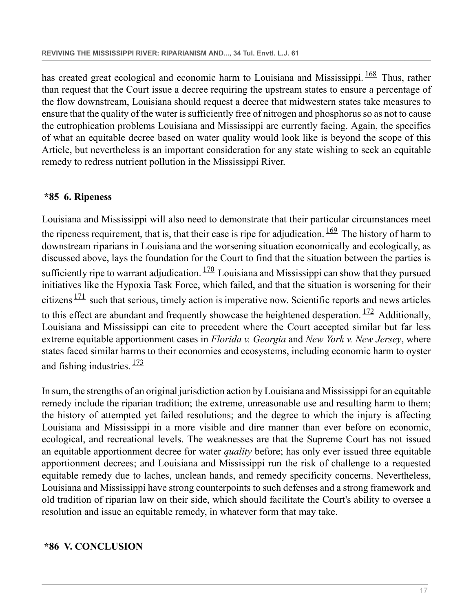<span id="page-16-2"></span>has created great ecological and economic harm to Louisiana and Mississippi.  $\frac{168}{168}$  $\frac{168}{168}$  $\frac{168}{168}$  Thus, rather than request that the Court issue a decree requiring the upstream states to ensure a percentage of the flow downstream, Louisiana should request a decree that midwestern states take measures to ensure that the quality of the water is sufficiently free of nitrogen and phosphorus so as not to cause the eutrophication problems Louisiana and Mississippi are currently facing. Again, the specifics of what an equitable decree based on water quality would look like is beyond the scope of this Article, but nevertheless is an important consideration for any state wishing to seek an equitable remedy to redress nutrient pollution in the Mississippi River.

#### <span id="page-16-3"></span><span id="page-16-0"></span>**\*85 6. Ripeness**

<span id="page-16-5"></span><span id="page-16-4"></span>Louisiana and Mississippi will also need to demonstrate that their particular circumstances meet the ripeness requirement, that is, that their case is ripe for adjudication.  $\frac{169}{169}$  $\frac{169}{169}$  $\frac{169}{169}$  The history of harm to downstream riparians in Louisiana and the worsening situation economically and ecologically, as discussed above, lays the foundation for the Court to find that the situation between the parties is sufficiently ripe to warrant adjudication.  $\frac{170}{2}$  $\frac{170}{2}$  $\frac{170}{2}$  Louisiana and Mississippi can show that they pursued initiatives like the Hypoxia Task Force, which failed, and that the situation is worsening for their citizens  $\frac{171}{17}$  $\frac{171}{17}$  $\frac{171}{17}$  such that serious, timely action is imperative now. Scientific reports and news articles to this effect are abundant and frequently showcase the heightened desperation.  $172$  Additionally, Louisiana and Mississippi can cite to precedent where the Court accepted similar but far less extreme equitable apportionment cases in *Florida v. Georgia* and *New York v. New Jersey*, where states faced similar harms to their economies and ecosystems, including economic harm to oyster and fishing industries.  $\frac{173}{2}$  $\frac{173}{2}$  $\frac{173}{2}$ 

<span id="page-16-7"></span><span id="page-16-6"></span>In sum, the strengths of an original jurisdiction action by Louisiana and Mississippi for an equitable remedy include the riparian tradition; the extreme, unreasonable use and resulting harm to them; the history of attempted yet failed resolutions; and the degree to which the injury is affecting Louisiana and Mississippi in a more visible and dire manner than ever before on economic, ecological, and recreational levels. The weaknesses are that the Supreme Court has not issued an equitable apportionment decree for water *quality* before; has only ever issued three equitable apportionment decrees; and Louisiana and Mississippi run the risk of challenge to a requested equitable remedy due to laches, unclean hands, and remedy specificity concerns. Nevertheless, Louisiana and Mississippi have strong counterpoints to such defenses and a strong framework and old tradition of riparian law on their side, which should facilitate the Court's ability to oversee a resolution and issue an equitable remedy, in whatever form that may take.

#### <span id="page-16-1"></span>**\*86 V. CONCLUSION**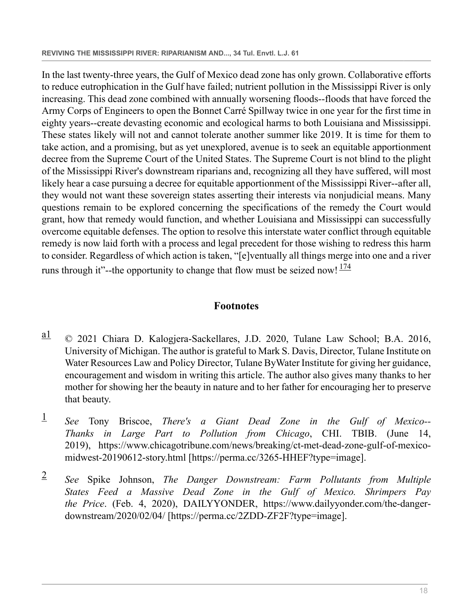In the last twenty-three years, the Gulf of Mexico dead zone has only grown. Collaborative efforts to reduce eutrophication in the Gulf have failed; nutrient pollution in the Mississippi River is only increasing. This dead zone combined with annually worsening floods--floods that have forced the Army Corps of Engineers to open the Bonnet Carré Spillway twice in one year for the first time in eighty years--create devasting economic and ecological harms to both Louisiana and Mississippi. These states likely will not and cannot tolerate another summer like 2019. It is time for them to take action, and a promising, but as yet unexplored, avenue is to seek an equitable apportionment decree from the Supreme Court of the United States. The Supreme Court is not blind to the plight of the Mississippi River's downstream riparians and, recognizing all they have suffered, will most likely hear a case pursuing a decree for equitable apportionment of the Mississippi River--after all, they would not want these sovereign states asserting their interests via nonjudicial means. Many questions remain to be explored concerning the specifications of the remedy the Court would grant, how that remedy would function, and whether Louisiana and Mississippi can successfully overcome equitable defenses. The option to resolve this interstate water conflict through equitable remedy is now laid forth with a process and legal precedent for those wishing to redress this harm to consider. Regardless of which action is taken, "[e]ventually all things merge into one and a river runs through it"--the opportunity to change that flow must be seized now!  $\frac{174}{17}$  $\frac{174}{17}$  $\frac{174}{17}$ 

# <span id="page-17-3"></span>**Footnotes**

- <span id="page-17-0"></span> $\frac{a1}{c}$  $\frac{a1}{c}$  $\frac{a1}{c}$  © 2021 Chiara D. Kalogjera-Sackellares, J.D. 2020, Tulane Law School; B.A. 2016, University of Michigan. The author is grateful to Mark S. Davis, Director, Tulane Institute on Water Resources Law and Policy Director, Tulane ByWater Institute for giving her guidance, encouragement and wisdom in writing this article. The author also gives many thanks to her mother for showing her the beauty in nature and to her father for encouraging her to preserve that beauty.
- <span id="page-17-1"></span>[1](#page-0-1) *See* Tony Briscoe, *There's a Giant Dead Zone in the Gulf of Mexico-- Thanks in Large Part to Pollution from Chicago*, CHI. TBIB. (June 14, 2019), https://www.chicagotribune.com/news/breaking/ct-met-dead-zone-gulf-of-mexicomidwest-20190612-story.html [https://perma.cc/3265-HHEF?type=image].
- <span id="page-17-2"></span>[2](#page-0-2) *See* Spike Johnson, *The Danger Downstream: Farm Pollutants from Multiple States Feed a Massive Dead Zone in the Gulf of Mexico. Shrimpers Pay the Price*. (Feb. 4, 2020), DAILYYONDER, https://www.dailyyonder.com/the-dangerdownstream/2020/02/04/ [https://perma.cc/2ZDD-ZF2F?type=image].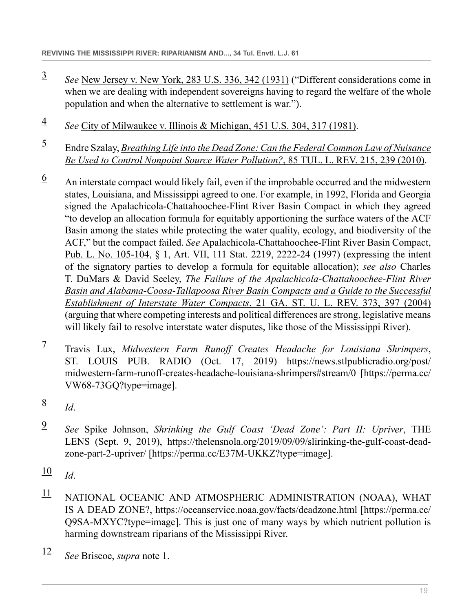- <span id="page-18-0"></span>[3](#page-0-3) *See* [New Jersey v. New York, 283 U.S. 336, 342 \(1931\)](http://www.westlaw.com/Link/Document/FullText?findType=Y&serNum=1931123944&pubNum=0000780&originatingDoc=Icc44daa1911411ebbea4f0dc9fb69570&refType=RP&fi=co_pp_sp_780_342&originationContext=document&vr=3.0&rs=cblt1.0&transitionType=DocumentItem&contextData=(sc.Search)#co_pp_sp_780_342) ("Different considerations come in when we are dealing with independent sovereigns having to regard the welfare of the whole population and when the alternative to settlement is war.").
- <span id="page-18-1"></span>[4](#page-0-4) *See* [City of Milwaukee v. Illinois & Michigan, 451 U.S. 304, 317 \(1981\).](http://www.westlaw.com/Link/Document/FullText?findType=Y&serNum=1981118612&pubNum=0000780&originatingDoc=Icc44daa1911411ebbea4f0dc9fb69570&refType=RP&fi=co_pp_sp_780_317&originationContext=document&vr=3.0&rs=cblt1.0&transitionType=DocumentItem&contextData=(sc.Search)#co_pp_sp_780_317)
- <span id="page-18-2"></span>[5](#page-0-5) Endre Szalay, *[Breathing Life into the Dead Zone: Can the Federal Common Law of Nuisance](http://www.westlaw.com/Link/Document/FullText?findType=Y&serNum=0356694854&pubNum=0001254&originatingDoc=Icc44daa1911411ebbea4f0dc9fb69570&refType=LR&fi=co_pp_sp_1254_239&originationContext=document&vr=3.0&rs=cblt1.0&transitionType=DocumentItem&contextData=(sc.Search)#co_pp_sp_1254_239) [Be Used to Control Nonpoint Source Water Pollution?](http://www.westlaw.com/Link/Document/FullText?findType=Y&serNum=0356694854&pubNum=0001254&originatingDoc=Icc44daa1911411ebbea4f0dc9fb69570&refType=LR&fi=co_pp_sp_1254_239&originationContext=document&vr=3.0&rs=cblt1.0&transitionType=DocumentItem&contextData=(sc.Search)#co_pp_sp_1254_239)*, 85 TUL. L. REV. 215, 239 (2010).
- <span id="page-18-3"></span> $\frac{6}{9}$  $\frac{6}{9}$  $\frac{6}{9}$  An interstate compact would likely fail, even if the improbable occurred and the midwestern states, Louisiana, and Mississippi agreed to one. For example, in 1992, Florida and Georgia signed the Apalachicola-Chattahoochee-Flint River Basin Compact in which they agreed "to develop an allocation formula for equitably apportioning the surface waters of the ACF Basin among the states while protecting the water quality, ecology, and biodiversity of the ACF," but the compact failed. *See* Apalachicola-Chattahoochee-Flint River Basin Compact, [Pub. L. No. 105-104](http://www.westlaw.com/Link/Document/FullText?findType=l&pubNum=1077005&cite=UUID(I1044A1D292-6B4903B0448-DBCEA60474C)&originatingDoc=Icc44daa1911411ebbea4f0dc9fb69570&refType=SL&originationContext=document&vr=3.0&rs=cblt1.0&transitionType=DocumentItem&contextData=(sc.Search)), § 1, Art. VII, 111 Stat. 2219, 2222-24 (1997) (expressing the intent of the signatory parties to develop a formula for equitable allocation); *see also* Charles T. DuMars & David Seeley, *[The Failure of the Apalachicola-Chattahoochee-Flint River](http://www.westlaw.com/Link/Document/FullText?findType=Y&serNum=0304473102&pubNum=0100110&originatingDoc=Icc44daa1911411ebbea4f0dc9fb69570&refType=LR&fi=co_pp_sp_100110_397&originationContext=document&vr=3.0&rs=cblt1.0&transitionType=DocumentItem&contextData=(sc.Search)#co_pp_sp_100110_397) [Basin and Alabama-Coosa-Tallapoosa River Basin Compacts and a Guide to the Successful](http://www.westlaw.com/Link/Document/FullText?findType=Y&serNum=0304473102&pubNum=0100110&originatingDoc=Icc44daa1911411ebbea4f0dc9fb69570&refType=LR&fi=co_pp_sp_100110_397&originationContext=document&vr=3.0&rs=cblt1.0&transitionType=DocumentItem&contextData=(sc.Search)#co_pp_sp_100110_397) [Establishment of Interstate Water Compacts](http://www.westlaw.com/Link/Document/FullText?findType=Y&serNum=0304473102&pubNum=0100110&originatingDoc=Icc44daa1911411ebbea4f0dc9fb69570&refType=LR&fi=co_pp_sp_100110_397&originationContext=document&vr=3.0&rs=cblt1.0&transitionType=DocumentItem&contextData=(sc.Search)#co_pp_sp_100110_397)*, 21 GA. ST. U. L. REV. 373, 397 (2004) (arguing that where competing interests and political differences are strong, legislative means will likely fail to resolve interstate water disputes, like those of the Mississippi River).
- <span id="page-18-4"></span>[7](#page-1-1) Travis Lux, *Midwestern Farm Runoff Creates Headache for Louisiana Shrimpers*, ST. LOUIS PUB. RADIO (Oct. 17, 2019) https://news.stlpublicradio.org/post/ midwestern-farm-runoff-creates-headache-louisiana-shrimpers#stream/0 [https://perma.cc/ VW68-73GQ?type=image].
- <span id="page-18-5"></span>[8](#page-1-2) *Id*.
- <span id="page-18-6"></span>[9](#page-1-3) *See* Spike Johnson, *Shrinking the Gulf Coast 'Dead Zone': Part II: Upriver*, THE LENS (Sept. 9, 2019), https://thelensnola.org/2019/09/09/slirinking-the-gulf-coast-deadzone-part-2-upriver/ [https://perma.cc/E37M-UKKZ?type=image].
- <span id="page-18-7"></span> $\frac{10}{10}$  $\frac{10}{10}$  $\frac{10}{10}$  *Id*.
- <span id="page-18-8"></span> $11$  NATIONAL OCEANIC AND ATMOSPHERIC ADMINISTRATION (NOAA), WHAT IS A DEAD ZONE?, https://oceanservice.noaa.gov/facts/deadzone.html [https://perma.cc/ Q9SA-MXYC?type=image]. This is just one of many ways by which nutrient pollution is harming downstream riparians of the Mississippi River.
- <span id="page-18-9"></span>[12](#page-1-6) *See* Briscoe, *supra* note 1.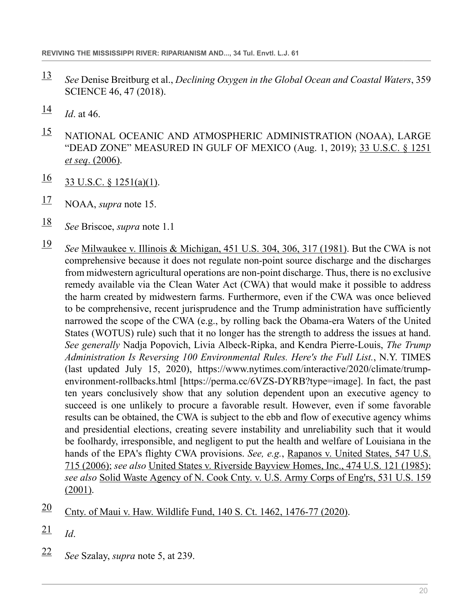- <span id="page-19-0"></span>[13](#page-1-7) *See* Denise Breitburg et al., *Declining Oxygen in the Global Ocean and Coastal Waters*, 359 SCIENCE 46, 47 (2018).
- <span id="page-19-1"></span> $\frac{14}{1}$  $\frac{14}{1}$  $\frac{14}{1}$  *Id.* at 46.
- <span id="page-19-2"></span>[15](#page-2-0) NATIONAL OCEANIC AND ATMOSPHERIC ADMINISTRATION (NOAA), LARGE "DEAD ZONE" MEASURED IN GULF OF MEXICO (Aug. 1, 2019); [33 U.S.C. § 1251](http://www.westlaw.com/Link/Document/FullText?findType=L&pubNum=1000546&cite=33USCAS1251&originatingDoc=Icc44daa1911411ebbea4f0dc9fb69570&refType=LQ&originationContext=document&vr=3.0&rs=cblt1.0&transitionType=DocumentItem&contextData=(sc.Search)) *et seq*[. \(2006\)](http://www.westlaw.com/Link/Document/FullText?findType=L&pubNum=1000546&cite=33USCAS1251&originatingDoc=Icc44daa1911411ebbea4f0dc9fb69570&refType=LQ&originationContext=document&vr=3.0&rs=cblt1.0&transitionType=DocumentItem&contextData=(sc.Search)).
- <span id="page-19-3"></span> $\frac{16}{33}$  $\frac{16}{33}$  $\frac{16}{33}$  U.S.C. § 1251(a)(1).
- <span id="page-19-4"></span>[17](#page-2-2) NOAA, *supra* note 15.
- <span id="page-19-5"></span>[18](#page-2-3) *See* Briscoe, *supra* note 1.1
- <span id="page-19-6"></span>[19](#page-2-4) *See* [Milwaukee v. Illinois & Michigan, 451 U.S. 304, 306, 317 \(1981\).](http://www.westlaw.com/Link/Document/FullText?findType=Y&serNum=1981118612&pubNum=0000780&originatingDoc=Icc44daa1911411ebbea4f0dc9fb69570&refType=RP&fi=co_pp_sp_780_306&originationContext=document&vr=3.0&rs=cblt1.0&transitionType=DocumentItem&contextData=(sc.Search)#co_pp_sp_780_306) But the CWA is not comprehensive because it does not regulate non-point source discharge and the discharges from midwestern agricultural operations are non-point discharge. Thus, there is no exclusive remedy available via the Clean Water Act (CWA) that would make it possible to address the harm created by midwestern farms. Furthermore, even if the CWA was once believed to be comprehensive, recent jurisprudence and the Trump administration have sufficiently narrowed the scope of the CWA (e.g., by rolling back the Obama-era Waters of the United States (WOTUS) rule) such that it no longer has the strength to address the issues at hand. *See generally* Nadja Popovich, Livia Albeck-Ripka, and Kendra Pierre-Louis, *The Trump Administration Is Reversing 100 Environmental Rules. Here's the Full List.*, N.Y. TIMES (last updated July 15, 2020), https://www.nytimes.com/interactive/2020/climate/trumpenvironment-rollbacks.html [https://perma.cc/6VZS-DYRB?type=image]. In fact, the past ten years conclusively show that any solution dependent upon an executive agency to succeed is one unlikely to procure a favorable result. However, even if some favorable results can be obtained, the CWA is subject to the ebb and flow of executive agency whims and presidential elections, creating severe instability and unreliability such that it would be foolhardy, irresponsible, and negligent to put the health and welfare of Louisiana in the hands of the EPA's flighty CWA provisions. *See, e.g.*, [Rapanos v. United States, 547 U.S.](http://www.westlaw.com/Link/Document/FullText?findType=Y&serNum=2009382759&pubNum=0000780&originatingDoc=Icc44daa1911411ebbea4f0dc9fb69570&refType=RP&originationContext=document&vr=3.0&rs=cblt1.0&transitionType=DocumentItem&contextData=(sc.Search)) [715 \(2006\)](http://www.westlaw.com/Link/Document/FullText?findType=Y&serNum=2009382759&pubNum=0000780&originatingDoc=Icc44daa1911411ebbea4f0dc9fb69570&refType=RP&originationContext=document&vr=3.0&rs=cblt1.0&transitionType=DocumentItem&contextData=(sc.Search)); *see also* [United States v. Riverside Bayview Homes, Inc., 474 U.S. 121 \(1985\)](http://www.westlaw.com/Link/Document/FullText?findType=Y&serNum=1985158798&pubNum=0000780&originatingDoc=Icc44daa1911411ebbea4f0dc9fb69570&refType=RP&originationContext=document&vr=3.0&rs=cblt1.0&transitionType=DocumentItem&contextData=(sc.Search)); *see also* [Solid Waste Agency of N. Cook Cnty. v. U.S. Army Corps of Eng'rs, 531 U.S. 159](http://www.westlaw.com/Link/Document/FullText?findType=Y&serNum=2001047585&pubNum=0000780&originatingDoc=Icc44daa1911411ebbea4f0dc9fb69570&refType=RP&originationContext=document&vr=3.0&rs=cblt1.0&transitionType=DocumentItem&contextData=(sc.Search)) [\(2001\).](http://www.westlaw.com/Link/Document/FullText?findType=Y&serNum=2001047585&pubNum=0000780&originatingDoc=Icc44daa1911411ebbea4f0dc9fb69570&refType=RP&originationContext=document&vr=3.0&rs=cblt1.0&transitionType=DocumentItem&contextData=(sc.Search))
- <span id="page-19-7"></span>[20](#page-2-5) [Cnty. of Maui v. Haw. Wildlife Fund, 140 S. Ct. 1462, 1476-77 \(2020\)](http://www.westlaw.com/Link/Document/FullText?findType=Y&serNum=2050824080&pubNum=0000708&originatingDoc=Icc44daa1911411ebbea4f0dc9fb69570&refType=RP&fi=co_pp_sp_708_1476&originationContext=document&vr=3.0&rs=cblt1.0&transitionType=DocumentItem&contextData=(sc.Search)#co_pp_sp_708_1476).
- <span id="page-19-8"></span> $\frac{21}{1}$  $\frac{21}{1}$  $\frac{21}{1}$  *Id.*
- <span id="page-19-9"></span>[22](#page-2-7) *See* Szalay, *supra* note 5, at 239.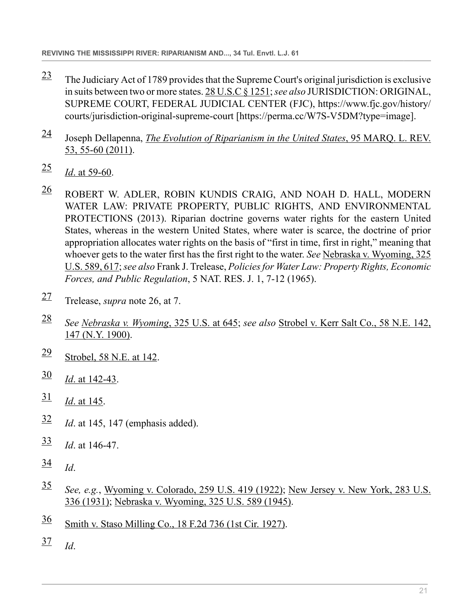- <span id="page-20-0"></span> $\frac{23}{2}$  $\frac{23}{2}$  $\frac{23}{2}$  The Judiciary Act of 1789 provides that the Supreme Court's original jurisdiction is exclusive in suits between two or more states. [28 U.S.C § 1251;](http://www.westlaw.com/Link/Document/FullText?findType=L&pubNum=1000546&cite=28USCAS1251&originatingDoc=Icc44daa1911411ebbea4f0dc9fb69570&refType=LQ&originationContext=document&vr=3.0&rs=cblt1.0&transitionType=DocumentItem&contextData=(sc.Search)) *see also* JURISDICTION: ORIGINAL, SUPREME COURT, FEDERAL JUDICIAL CENTER (FJC), https://www.fjc.gov/history/ courts/jurisdiction-original-supreme-court [https://perma.cc/W7S-V5DM?type=image].
- <span id="page-20-1"></span>[24](#page-3-2) Joseph Dellapenna, *[The Evolution of Riparianism in the United States](http://www.westlaw.com/Link/Document/FullText?findType=Y&serNum=0369668835&pubNum=0001186&originatingDoc=Icc44daa1911411ebbea4f0dc9fb69570&refType=LR&fi=co_pp_sp_1186_55&originationContext=document&vr=3.0&rs=cblt1.0&transitionType=DocumentItem&contextData=(sc.Search)#co_pp_sp_1186_55)*, 95 MARQ. L. REV. [53, 55-60 \(2011\)](http://www.westlaw.com/Link/Document/FullText?findType=Y&serNum=0369668835&pubNum=0001186&originatingDoc=Icc44daa1911411ebbea4f0dc9fb69570&refType=LR&fi=co_pp_sp_1186_55&originationContext=document&vr=3.0&rs=cblt1.0&transitionType=DocumentItem&contextData=(sc.Search)#co_pp_sp_1186_55).
- <span id="page-20-2"></span> $\frac{25}{1}$  $\frac{25}{1}$  $\frac{25}{1}$  *Id.* at 59-60.
- <span id="page-20-3"></span> $\frac{26}{10}$  $\frac{26}{10}$  $\frac{26}{10}$  ROBERT W. ADLER, ROBIN KUNDIS CRAIG, AND NOAH D. HALL, MODERN WATER LAW: PRIVATE PROPERTY, PUBLIC RIGHTS, AND ENVIRONMENTAL PROTECTIONS (2013). Riparian doctrine governs water rights for the eastern United States, whereas in the western United States, where water is scarce, the doctrine of prior appropriation allocates water rights on the basis of "first in time, first in right," meaning that whoever gets to the water first has the first right to the water. *See* [Nebraska v. Wyoming, 325](http://www.westlaw.com/Link/Document/FullText?findType=Y&serNum=1945116325&pubNum=0000780&originatingDoc=Icc44daa1911411ebbea4f0dc9fb69570&refType=RP&fi=co_pp_sp_780_617&originationContext=document&vr=3.0&rs=cblt1.0&transitionType=DocumentItem&contextData=(sc.Search)#co_pp_sp_780_617) [U.S. 589, 617](http://www.westlaw.com/Link/Document/FullText?findType=Y&serNum=1945116325&pubNum=0000780&originatingDoc=Icc44daa1911411ebbea4f0dc9fb69570&refType=RP&fi=co_pp_sp_780_617&originationContext=document&vr=3.0&rs=cblt1.0&transitionType=DocumentItem&contextData=(sc.Search)#co_pp_sp_780_617); *see also* Frank J. Trelease, *Policies for Water Law: Property Rights, Economic Forces, and Public Regulation*, 5 NAT. RES. J. 1, 7-12 (1965).
- <span id="page-20-4"></span>[27](#page-3-5) Trelease, *supra* note 26, at 7.
- <span id="page-20-5"></span>[28](#page-3-6) *See [Nebraska v. Wyoming](http://www.westlaw.com/Link/Document/FullText?findType=Y&serNum=1945116325&pubNum=0000780&originatingDoc=Icc44daa1911411ebbea4f0dc9fb69570&refType=RP&fi=co_pp_sp_780_645&originationContext=document&vr=3.0&rs=cblt1.0&transitionType=DocumentItem&contextData=(sc.Search)#co_pp_sp_780_645)*, 325 U.S. at 645; *see also* [Strobel v. Kerr Salt Co., 58 N.E. 142,](http://www.westlaw.com/Link/Document/FullText?findType=Y&serNum=1900003881&pubNum=0000577&originatingDoc=Icc44daa1911411ebbea4f0dc9fb69570&refType=RP&fi=co_pp_sp_577_147&originationContext=document&vr=3.0&rs=cblt1.0&transitionType=DocumentItem&contextData=(sc.Search)#co_pp_sp_577_147) [147 \(N.Y. 1900\)](http://www.westlaw.com/Link/Document/FullText?findType=Y&serNum=1900003881&pubNum=0000577&originatingDoc=Icc44daa1911411ebbea4f0dc9fb69570&refType=RP&fi=co_pp_sp_577_147&originationContext=document&vr=3.0&rs=cblt1.0&transitionType=DocumentItem&contextData=(sc.Search)#co_pp_sp_577_147).
- <span id="page-20-6"></span>[29](#page-3-7) [Strobel, 58 N.E. at 142](http://www.westlaw.com/Link/Document/FullText?findType=Y&serNum=1900003881&pubNum=0000577&originatingDoc=Icc44daa1911411ebbea4f0dc9fb69570&refType=RP&fi=co_pp_sp_577_142&originationContext=document&vr=3.0&rs=cblt1.0&transitionType=DocumentItem&contextData=(sc.Search)#co_pp_sp_577_142).
- <span id="page-20-7"></span> $\frac{30}{1}$  $\frac{30}{1}$  $\frac{30}{1}$  *Id.* at 142-43.
- <span id="page-20-8"></span> $\frac{31}{1}$  $\frac{31}{1}$  $\frac{31}{1}$  *Id.* at 145.
- <span id="page-20-9"></span>[32](#page-3-10) *Id*. at 145, 147 (emphasis added).
- <span id="page-20-10"></span>[33](#page-3-11) *Id*. at 146-47.
- <span id="page-20-11"></span> $\frac{34}{1}$  $\frac{34}{1}$  $\frac{34}{1}$  *Id.*
- <span id="page-20-12"></span>[35](#page-4-2) *See, e.g.*, [Wyoming v. Colorado, 259 U.S. 419 \(1922\)](http://www.westlaw.com/Link/Document/FullText?findType=Y&serNum=1922118067&pubNum=0000780&originatingDoc=Icc44daa1911411ebbea4f0dc9fb69570&refType=RP&originationContext=document&vr=3.0&rs=cblt1.0&transitionType=DocumentItem&contextData=(sc.Search)); [New Jersey v. New York, 283 U.S.](http://www.westlaw.com/Link/Document/FullText?findType=Y&serNum=1931123944&pubNum=0000780&originatingDoc=Icc44daa1911411ebbea4f0dc9fb69570&refType=RP&originationContext=document&vr=3.0&rs=cblt1.0&transitionType=DocumentItem&contextData=(sc.Search)) [336 \(1931\)](http://www.westlaw.com/Link/Document/FullText?findType=Y&serNum=1931123944&pubNum=0000780&originatingDoc=Icc44daa1911411ebbea4f0dc9fb69570&refType=RP&originationContext=document&vr=3.0&rs=cblt1.0&transitionType=DocumentItem&contextData=(sc.Search)); [Nebraska v. Wyoming, 325 U.S. 589 \(1945\).](http://www.westlaw.com/Link/Document/FullText?findType=Y&serNum=1945116325&pubNum=0000780&originatingDoc=Icc44daa1911411ebbea4f0dc9fb69570&refType=RP&originationContext=document&vr=3.0&rs=cblt1.0&transitionType=DocumentItem&contextData=(sc.Search))
- <span id="page-20-13"></span> $\frac{36}{18}$  $\frac{36}{18}$  $\frac{36}{18}$  [Smith v. Staso Milling Co., 18 F.2d 736 \(1st Cir. 1927\)](http://www.westlaw.com/Link/Document/FullText?findType=Y&serNum=1927127643&pubNum=0000350&originatingDoc=Icc44daa1911411ebbea4f0dc9fb69570&refType=RP&originationContext=document&vr=3.0&rs=cblt1.0&transitionType=DocumentItem&contextData=(sc.Search)).
- <span id="page-20-14"></span> $\frac{37}{1}$  $\frac{37}{1}$  $\frac{37}{1}$  *Id.*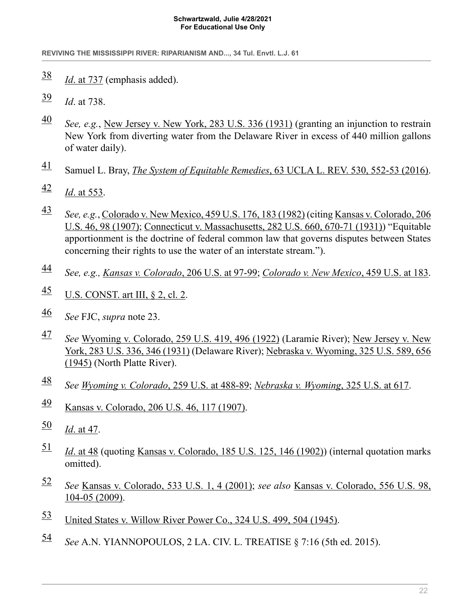#### **Schwartzwald, Julie 4/28/2021 For Educational Use Only**

**REVIVING THE MISSISSIPPI RIVER: RIPARIANISM AND..., 34 Tul. Envtl. L.J. 61**

- <span id="page-21-0"></span>[38](#page-4-5) *Id*[. at 737](http://www.westlaw.com/Link/Document/FullText?findType=Y&serNum=1927127643&pubNum=0000350&originatingDoc=Icc44daa1911411ebbea4f0dc9fb69570&refType=RP&fi=co_pp_sp_350_737&originationContext=document&vr=3.0&rs=cblt1.0&transitionType=DocumentItem&contextData=(sc.Search)#co_pp_sp_350_737) (emphasis added).
- <span id="page-21-1"></span>[39](#page-4-6) *Id*. at 738.
- <span id="page-21-2"></span>[40](#page-4-7) *See, e.g.*, [New Jersey v. New York, 283 U.S. 336 \(1931\)](http://www.westlaw.com/Link/Document/FullText?findType=Y&serNum=1931123944&pubNum=0000780&originatingDoc=Icc44daa1911411ebbea4f0dc9fb69570&refType=RP&originationContext=document&vr=3.0&rs=cblt1.0&transitionType=DocumentItem&contextData=(sc.Search)) (granting an injunction to restrain New York from diverting water from the Delaware River in excess of 440 million gallons of water daily).
- <span id="page-21-3"></span>[41](#page-4-8) Samuel L. Bray, *The System of Equitable Remedies*[, 63 UCLA L. REV. 530, 552-53 \(2016\).](http://www.westlaw.com/Link/Document/FullText?findType=Y&serNum=0442587986&pubNum=0003041&originatingDoc=Icc44daa1911411ebbea4f0dc9fb69570&refType=LR&fi=co_pp_sp_3041_552&originationContext=document&vr=3.0&rs=cblt1.0&transitionType=DocumentItem&contextData=(sc.Search)#co_pp_sp_3041_552)
- <span id="page-21-4"></span> $\frac{42}{1}$  $\frac{42}{1}$  $\frac{42}{1}$  *Id.* at 553.
- <span id="page-21-5"></span>[43](#page-5-2) *See, e.g.*, [Colorado v. New Mexico, 459 U.S. 176, 183 \(1982\)](http://www.westlaw.com/Link/Document/FullText?findType=Y&serNum=1982153513&pubNum=0000780&originatingDoc=Icc44daa1911411ebbea4f0dc9fb69570&refType=RP&fi=co_pp_sp_780_183&originationContext=document&vr=3.0&rs=cblt1.0&transitionType=DocumentItem&contextData=(sc.Search)#co_pp_sp_780_183) (citing [Kansas v. Colorado, 206](http://www.westlaw.com/Link/Document/FullText?findType=Y&serNum=1907100409&pubNum=0000780&originatingDoc=Icc44daa1911411ebbea4f0dc9fb69570&refType=RP&fi=co_pp_sp_780_98&originationContext=document&vr=3.0&rs=cblt1.0&transitionType=DocumentItem&contextData=(sc.Search)#co_pp_sp_780_98) [U.S. 46, 98 \(1907\)](http://www.westlaw.com/Link/Document/FullText?findType=Y&serNum=1907100409&pubNum=0000780&originatingDoc=Icc44daa1911411ebbea4f0dc9fb69570&refType=RP&fi=co_pp_sp_780_98&originationContext=document&vr=3.0&rs=cblt1.0&transitionType=DocumentItem&contextData=(sc.Search)#co_pp_sp_780_98); [Connecticut v. Massachusetts, 282 U.S. 660, 670-71 \(1931\)](http://www.westlaw.com/Link/Document/FullText?findType=Y&serNum=1931123939&pubNum=0000780&originatingDoc=Icc44daa1911411ebbea4f0dc9fb69570&refType=RP&fi=co_pp_sp_780_670&originationContext=document&vr=3.0&rs=cblt1.0&transitionType=DocumentItem&contextData=(sc.Search)#co_pp_sp_780_670)) "Equitable apportionment is the doctrine of federal common law that governs disputes between States concerning their rights to use the water of an interstate stream.").
- <span id="page-21-6"></span>[44](#page-5-3) *See, e.g., [Kansas v. Colorado](http://www.westlaw.com/Link/Document/FullText?findType=Y&serNum=1907100409&pubNum=0000780&originatingDoc=Icc44daa1911411ebbea4f0dc9fb69570&refType=RP&fi=co_pp_sp_780_97&originationContext=document&vr=3.0&rs=cblt1.0&transitionType=DocumentItem&contextData=(sc.Search)#co_pp_sp_780_97)*, 206 U.S. at 97-99; *[Colorado v. New Mexico](http://www.westlaw.com/Link/Document/FullText?findType=Y&serNum=1982153513&pubNum=0000780&originatingDoc=Icc44daa1911411ebbea4f0dc9fb69570&refType=RP&fi=co_pp_sp_780_183&originationContext=document&vr=3.0&rs=cblt1.0&transitionType=DocumentItem&contextData=(sc.Search)#co_pp_sp_780_183)*, 459 U.S. at 183.
- <span id="page-21-7"></span> $\frac{45}{10}$  $\frac{45}{10}$  $\frac{45}{10}$  [U.S. CONST. art III, § 2, cl. 2](http://www.westlaw.com/Link/Document/FullText?findType=L&pubNum=1000583&cite=USCOARTIIIS2CL2&originatingDoc=Icc44daa1911411ebbea4f0dc9fb69570&refType=LQ&originationContext=document&vr=3.0&rs=cblt1.0&transitionType=DocumentItem&contextData=(sc.Search)).
- <span id="page-21-8"></span>[46](#page-5-5) *See* FJC, *supra* note 23.
- <span id="page-21-9"></span>[47](#page-5-6) *See* [Wyoming v. Colorado, 259 U.S. 419, 496 \(1922\)](http://www.westlaw.com/Link/Document/FullText?findType=Y&serNum=1922118067&pubNum=0000780&originatingDoc=Icc44daa1911411ebbea4f0dc9fb69570&refType=RP&fi=co_pp_sp_780_496&originationContext=document&vr=3.0&rs=cblt1.0&transitionType=DocumentItem&contextData=(sc.Search)#co_pp_sp_780_496) (Laramie River); [New Jersey v. New](http://www.westlaw.com/Link/Document/FullText?findType=Y&serNum=1931123944&pubNum=0000780&originatingDoc=Icc44daa1911411ebbea4f0dc9fb69570&refType=RP&fi=co_pp_sp_780_346&originationContext=document&vr=3.0&rs=cblt1.0&transitionType=DocumentItem&contextData=(sc.Search)#co_pp_sp_780_346) [York, 283 U.S. 336, 346 \(1931\)](http://www.westlaw.com/Link/Document/FullText?findType=Y&serNum=1931123944&pubNum=0000780&originatingDoc=Icc44daa1911411ebbea4f0dc9fb69570&refType=RP&fi=co_pp_sp_780_346&originationContext=document&vr=3.0&rs=cblt1.0&transitionType=DocumentItem&contextData=(sc.Search)#co_pp_sp_780_346) (Delaware River); [Nebraska v. Wyoming, 325 U.S. 589, 656](http://www.westlaw.com/Link/Document/FullText?findType=Y&serNum=1945116325&pubNum=0000780&originatingDoc=Icc44daa1911411ebbea4f0dc9fb69570&refType=RP&fi=co_pp_sp_780_656&originationContext=document&vr=3.0&rs=cblt1.0&transitionType=DocumentItem&contextData=(sc.Search)#co_pp_sp_780_656) [\(1945\)](http://www.westlaw.com/Link/Document/FullText?findType=Y&serNum=1945116325&pubNum=0000780&originatingDoc=Icc44daa1911411ebbea4f0dc9fb69570&refType=RP&fi=co_pp_sp_780_656&originationContext=document&vr=3.0&rs=cblt1.0&transitionType=DocumentItem&contextData=(sc.Search)#co_pp_sp_780_656) (North Platte River).
- <span id="page-21-10"></span>[48](#page-5-7) *See [Wyoming v. Colorado](http://www.westlaw.com/Link/Document/FullText?findType=Y&serNum=1922118067&pubNum=0000780&originatingDoc=Icc44daa1911411ebbea4f0dc9fb69570&refType=RP&fi=co_pp_sp_780_488&originationContext=document&vr=3.0&rs=cblt1.0&transitionType=DocumentItem&contextData=(sc.Search)#co_pp_sp_780_488)*, 259 U.S. at 488-89; *[Nebraska v. Wyoming](http://www.westlaw.com/Link/Document/FullText?findType=Y&serNum=1945116325&pubNum=0000780&originatingDoc=Icc44daa1911411ebbea4f0dc9fb69570&refType=RP&fi=co_pp_sp_780_617&originationContext=document&vr=3.0&rs=cblt1.0&transitionType=DocumentItem&contextData=(sc.Search)#co_pp_sp_780_617)*, 325 U.S. at 617.
- <span id="page-21-11"></span> $\frac{49}{12}$  $\frac{49}{12}$  $\frac{49}{12}$  [Kansas v. Colorado, 206 U.S. 46, 117 \(1907\)](http://www.westlaw.com/Link/Document/FullText?findType=Y&serNum=1907100409&pubNum=0000780&originatingDoc=Icc44daa1911411ebbea4f0dc9fb69570&refType=RP&fi=co_pp_sp_780_117&originationContext=document&vr=3.0&rs=cblt1.0&transitionType=DocumentItem&contextData=(sc.Search)#co_pp_sp_780_117).
- <span id="page-21-12"></span> $\frac{50}{1}$  $\frac{50}{1}$  $\frac{50}{1}$  *Id.* at 47.
- <span id="page-21-13"></span>[51](#page-5-10) *Id*[. at 48](http://www.westlaw.com/Link/Document/FullText?findType=Y&serNum=1907100409&pubNum=0000780&originatingDoc=Icc44daa1911411ebbea4f0dc9fb69570&refType=RP&fi=co_pp_sp_780_48&originationContext=document&vr=3.0&rs=cblt1.0&transitionType=DocumentItem&contextData=(sc.Search)#co_pp_sp_780_48) (quoting [Kansas v. Colorado, 185 U.S. 125, 146 \(1902\)\)](http://www.westlaw.com/Link/Document/FullText?findType=Y&serNum=1902100397&pubNum=0000780&originatingDoc=Icc44daa1911411ebbea4f0dc9fb69570&refType=RP&fi=co_pp_sp_780_146&originationContext=document&vr=3.0&rs=cblt1.0&transitionType=DocumentItem&contextData=(sc.Search)#co_pp_sp_780_146) (internal quotation marks omitted).
- <span id="page-21-14"></span>[52](#page-6-0) *See* [Kansas v. Colorado, 533 U.S. 1, 4 \(2001\)](http://www.westlaw.com/Link/Document/FullText?findType=Y&serNum=2001500814&pubNum=0000780&originatingDoc=Icc44daa1911411ebbea4f0dc9fb69570&refType=RP&fi=co_pp_sp_780_4&originationContext=document&vr=3.0&rs=cblt1.0&transitionType=DocumentItem&contextData=(sc.Search)#co_pp_sp_780_4); *see also* [Kansas v. Colorado, 556 U.S. 98,](http://www.westlaw.com/Link/Document/FullText?findType=Y&serNum=2018291960&pubNum=0000780&originatingDoc=Icc44daa1911411ebbea4f0dc9fb69570&refType=RP&fi=co_pp_sp_780_104&originationContext=document&vr=3.0&rs=cblt1.0&transitionType=DocumentItem&contextData=(sc.Search)#co_pp_sp_780_104) [104-05 \(2009\).](http://www.westlaw.com/Link/Document/FullText?findType=Y&serNum=2018291960&pubNum=0000780&originatingDoc=Icc44daa1911411ebbea4f0dc9fb69570&refType=RP&fi=co_pp_sp_780_104&originationContext=document&vr=3.0&rs=cblt1.0&transitionType=DocumentItem&contextData=(sc.Search)#co_pp_sp_780_104)
- <span id="page-21-15"></span>[53](#page-6-1) [United States v. Willow River Power Co., 324 U.S. 499, 504 \(1945\).](http://www.westlaw.com/Link/Document/FullText?findType=Y&serNum=1945116863&pubNum=0000780&originatingDoc=Icc44daa1911411ebbea4f0dc9fb69570&refType=RP&fi=co_pp_sp_780_504&originationContext=document&vr=3.0&rs=cblt1.0&transitionType=DocumentItem&contextData=(sc.Search)#co_pp_sp_780_504)
- <span id="page-21-16"></span>[54](#page-6-2) *See* A.N. YIANNOPOULOS, 2 LA. CIV. L. TREATISE § 7:16 (5th ed. 2015).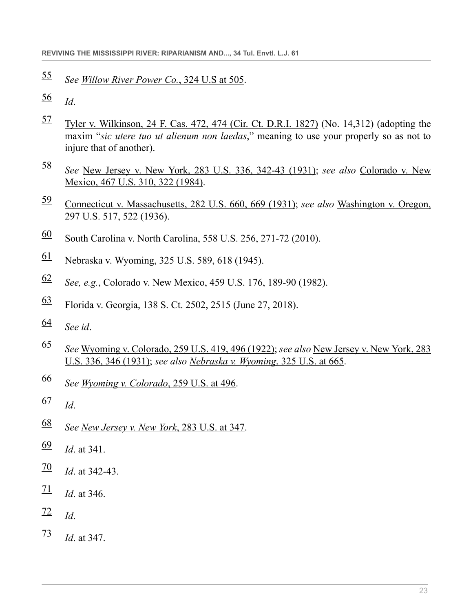- <span id="page-22-0"></span>*See [Willow River Power Co.](http://www.westlaw.com/Link/Document/FullText?findType=Y&serNum=1945116863&pubNum=0000780&originatingDoc=Icc44daa1911411ebbea4f0dc9fb69570&refType=RP&fi=co_pp_sp_780_505&originationContext=document&vr=3.0&rs=cblt1.0&transitionType=DocumentItem&contextData=(sc.Search)#co_pp_sp_780_505)*, 324 U.S at 505.
- <span id="page-22-1"></span>*Id*.
- <span id="page-22-2"></span> [Tyler v. Wilkinson, 24 F. Cas. 472, 474 \(Cir. Ct. D.R.I. 1827\)](http://www.westlaw.com/Link/Document/FullText?findType=Y&serNum=1800133785&pubNum=0000349&originatingDoc=Icc44daa1911411ebbea4f0dc9fb69570&refType=RP&fi=co_pp_sp_349_474&originationContext=document&vr=3.0&rs=cblt1.0&transitionType=DocumentItem&contextData=(sc.Search)#co_pp_sp_349_474) (No. 14,312) (adopting the maxim "*sic utere tuo ut alienum non laedas*," meaning to use your properly so as not to injure that of another).
- <span id="page-22-3"></span> *See* [New Jersey v. New York, 283 U.S. 336, 342-43 \(1931\);](http://www.westlaw.com/Link/Document/FullText?findType=Y&serNum=1931123944&pubNum=0000780&originatingDoc=Icc44daa1911411ebbea4f0dc9fb69570&refType=RP&fi=co_pp_sp_780_342&originationContext=document&vr=3.0&rs=cblt1.0&transitionType=DocumentItem&contextData=(sc.Search)#co_pp_sp_780_342) *see also* [Colorado v. New](http://www.westlaw.com/Link/Document/FullText?findType=Y&serNum=1984126796&pubNum=0000780&originatingDoc=Icc44daa1911411ebbea4f0dc9fb69570&refType=RP&fi=co_pp_sp_780_322&originationContext=document&vr=3.0&rs=cblt1.0&transitionType=DocumentItem&contextData=(sc.Search)#co_pp_sp_780_322) [Mexico, 467 U.S. 310, 322 \(1984\).](http://www.westlaw.com/Link/Document/FullText?findType=Y&serNum=1984126796&pubNum=0000780&originatingDoc=Icc44daa1911411ebbea4f0dc9fb69570&refType=RP&fi=co_pp_sp_780_322&originationContext=document&vr=3.0&rs=cblt1.0&transitionType=DocumentItem&contextData=(sc.Search)#co_pp_sp_780_322)
- <span id="page-22-4"></span> [Connecticut v. Massachusetts, 282 U.S. 660, 669 \(1931\);](http://www.westlaw.com/Link/Document/FullText?findType=Y&serNum=1931123939&pubNum=0000780&originatingDoc=Icc44daa1911411ebbea4f0dc9fb69570&refType=RP&fi=co_pp_sp_780_669&originationContext=document&vr=3.0&rs=cblt1.0&transitionType=DocumentItem&contextData=(sc.Search)#co_pp_sp_780_669) *see also* [Washington v. Oregon,](http://www.westlaw.com/Link/Document/FullText?findType=Y&serNum=1936123565&pubNum=0000780&originatingDoc=Icc44daa1911411ebbea4f0dc9fb69570&refType=RP&fi=co_pp_sp_780_522&originationContext=document&vr=3.0&rs=cblt1.0&transitionType=DocumentItem&contextData=(sc.Search)#co_pp_sp_780_522) [297 U.S. 517, 522 \(1936\).](http://www.westlaw.com/Link/Document/FullText?findType=Y&serNum=1936123565&pubNum=0000780&originatingDoc=Icc44daa1911411ebbea4f0dc9fb69570&refType=RP&fi=co_pp_sp_780_522&originationContext=document&vr=3.0&rs=cblt1.0&transitionType=DocumentItem&contextData=(sc.Search)#co_pp_sp_780_522)
- <span id="page-22-5"></span>[South Carolina v. North Carolina, 558 U.S. 256, 271-72 \(2010\)](http://www.westlaw.com/Link/Document/FullText?findType=Y&serNum=2021166035&pubNum=0000780&originatingDoc=Icc44daa1911411ebbea4f0dc9fb69570&refType=RP&fi=co_pp_sp_780_271&originationContext=document&vr=3.0&rs=cblt1.0&transitionType=DocumentItem&contextData=(sc.Search)#co_pp_sp_780_271).
- <span id="page-22-6"></span>[Nebraska v. Wyoming, 325 U.S. 589, 618 \(1945\).](http://www.westlaw.com/Link/Document/FullText?findType=Y&serNum=1945116325&pubNum=0000780&originatingDoc=Icc44daa1911411ebbea4f0dc9fb69570&refType=RP&fi=co_pp_sp_780_618&originationContext=document&vr=3.0&rs=cblt1.0&transitionType=DocumentItem&contextData=(sc.Search)#co_pp_sp_780_618)
- <span id="page-22-7"></span>*See, e.g.*, [Colorado v. New Mexico, 459 U.S. 176, 189-90 \(1982\)](http://www.westlaw.com/Link/Document/FullText?findType=Y&serNum=1982153513&pubNum=0000780&originatingDoc=Icc44daa1911411ebbea4f0dc9fb69570&refType=RP&fi=co_pp_sp_780_189&originationContext=document&vr=3.0&rs=cblt1.0&transitionType=DocumentItem&contextData=(sc.Search)#co_pp_sp_780_189).
- <span id="page-22-8"></span>[Florida v. Georgia, 138 S. Ct. 2502, 2515 \(June 27, 2018\)](http://www.westlaw.com/Link/Document/FullText?findType=Y&serNum=2044822048&pubNum=0000708&originatingDoc=Icc44daa1911411ebbea4f0dc9fb69570&refType=RP&fi=co_pp_sp_708_2515&originationContext=document&vr=3.0&rs=cblt1.0&transitionType=DocumentItem&contextData=(sc.Search)#co_pp_sp_708_2515).
- <span id="page-22-9"></span>*See id*.
- <span id="page-22-10"></span> *See* [Wyoming v. Colorado, 259 U.S. 419, 496 \(1922\)](http://www.westlaw.com/Link/Document/FullText?findType=Y&serNum=1922118067&pubNum=0000780&originatingDoc=Icc44daa1911411ebbea4f0dc9fb69570&refType=RP&fi=co_pp_sp_780_496&originationContext=document&vr=3.0&rs=cblt1.0&transitionType=DocumentItem&contextData=(sc.Search)#co_pp_sp_780_496); *see also* [New Jersey v. New York, 283](http://www.westlaw.com/Link/Document/FullText?findType=Y&serNum=1931123944&pubNum=0000780&originatingDoc=Icc44daa1911411ebbea4f0dc9fb69570&refType=RP&fi=co_pp_sp_780_346&originationContext=document&vr=3.0&rs=cblt1.0&transitionType=DocumentItem&contextData=(sc.Search)#co_pp_sp_780_346) [U.S. 336, 346 \(1931\);](http://www.westlaw.com/Link/Document/FullText?findType=Y&serNum=1931123944&pubNum=0000780&originatingDoc=Icc44daa1911411ebbea4f0dc9fb69570&refType=RP&fi=co_pp_sp_780_346&originationContext=document&vr=3.0&rs=cblt1.0&transitionType=DocumentItem&contextData=(sc.Search)#co_pp_sp_780_346) *see also [Nebraska v. Wyoming](http://www.westlaw.com/Link/Document/FullText?findType=Y&serNum=1945116325&pubNum=0000780&originatingDoc=Icc44daa1911411ebbea4f0dc9fb69570&refType=RP&fi=co_pp_sp_780_665&originationContext=document&vr=3.0&rs=cblt1.0&transitionType=DocumentItem&contextData=(sc.Search)#co_pp_sp_780_665)*, 325 U.S. at 665.
- <span id="page-22-11"></span>*See [Wyoming v. Colorado](http://www.westlaw.com/Link/Document/FullText?findType=Y&serNum=1922200496&pubNum=0000780&originatingDoc=Icc44daa1911411ebbea4f0dc9fb69570&refType=RP&fi=co_pp_sp_780_496&originationContext=document&vr=3.0&rs=cblt1.0&transitionType=DocumentItem&contextData=(sc.Search)#co_pp_sp_780_496)*, 259 U.S. at 496.
- <span id="page-22-12"></span> $\frac{67}{d}$  $\frac{67}{d}$  $\frac{67}{d}$  *Id.*
- <span id="page-22-13"></span>*See [New Jersey v. New York](http://www.westlaw.com/Link/Document/FullText?findType=Y&serNum=1931123944&pubNum=0000780&originatingDoc=Icc44daa1911411ebbea4f0dc9fb69570&refType=RP&fi=co_pp_sp_780_347&originationContext=document&vr=3.0&rs=cblt1.0&transitionType=DocumentItem&contextData=(sc.Search)#co_pp_sp_780_347)*, 283 U.S. at 347.
- <span id="page-22-14"></span>*Id*[. at 341](http://www.westlaw.com/Link/Document/FullText?findType=Y&serNum=1931123944&pubNum=0000780&originatingDoc=Icc44daa1911411ebbea4f0dc9fb69570&refType=RP&fi=co_pp_sp_780_341&originationContext=document&vr=3.0&rs=cblt1.0&transitionType=DocumentItem&contextData=(sc.Search)#co_pp_sp_780_341).
- <span id="page-22-15"></span> $\frac{70}{1}$  $\frac{70}{1}$  $\frac{70}{1}$  *Id.* at 342-43.
- <span id="page-22-16"></span> $\frac{71}{10}$  $\frac{71}{10}$  $\frac{71}{10}$  *Id.* at 346.
- <span id="page-22-17"></span> $\frac{72}{1}$  $\frac{72}{1}$  $\frac{72}{1}$  *Id*.
- <span id="page-22-18"></span>*Id*. at 347.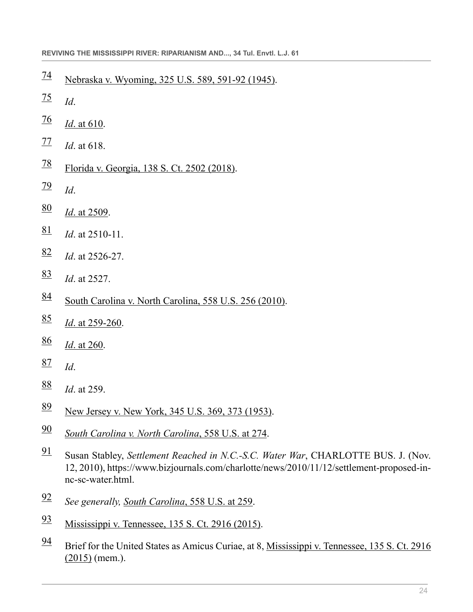- <span id="page-23-0"></span>[Nebraska v. Wyoming, 325 U.S. 589, 591-92 \(1945\).](http://www.westlaw.com/Link/Document/FullText?findType=Y&serNum=1945116325&pubNum=0000780&originatingDoc=Icc44daa1911411ebbea4f0dc9fb69570&refType=RP&fi=co_pp_sp_780_591&originationContext=document&vr=3.0&rs=cblt1.0&transitionType=DocumentItem&contextData=(sc.Search)#co_pp_sp_780_591)
- <span id="page-23-1"></span>*Id*.
- <span id="page-23-2"></span> $\frac{76}{1}$  $\frac{76}{1}$  $\frac{76}{1}$  *Id.* at 610.
- <span id="page-23-3"></span> $\frac{77}{1}$  $\frac{77}{1}$  $\frac{77}{1}$  *Id.* at 618.
- <span id="page-23-4"></span>[Florida v. Georgia, 138 S. Ct. 2502 \(2018\)](http://www.westlaw.com/Link/Document/FullText?findType=Y&serNum=2044822048&pubNum=0000708&originatingDoc=Icc44daa1911411ebbea4f0dc9fb69570&refType=RP&originationContext=document&vr=3.0&rs=cblt1.0&transitionType=DocumentItem&contextData=(sc.Search)).
- <span id="page-23-5"></span> $\frac{79}{1}$  $\frac{79}{1}$  $\frac{79}{1}$  *Id.*
- <span id="page-23-6"></span> $\frac{80}{1}$  $\frac{80}{1}$  $\frac{80}{1}$  *Id.* at 2509.
- <span id="page-23-7"></span> $\frac{81}{1}$  $\frac{81}{1}$  $\frac{81}{1}$  *Id.* at 2510-11.
- <span id="page-23-8"></span>*Id*. at 2526-27.
- <span id="page-23-9"></span>*Id*. at 2527.
- <span id="page-23-10"></span>[South Carolina v. North Carolina, 558 U.S. 256 \(2010\).](http://www.westlaw.com/Link/Document/FullText?findType=Y&serNum=2021166035&pubNum=0000780&originatingDoc=Icc44daa1911411ebbea4f0dc9fb69570&refType=RP&originationContext=document&vr=3.0&rs=cblt1.0&transitionType=DocumentItem&contextData=(sc.Search))
- <span id="page-23-11"></span>*Id*[. at 259-260](http://www.westlaw.com/Link/Document/FullText?findType=Y&serNum=2021166035&pubNum=0000780&originatingDoc=Icc44daa1911411ebbea4f0dc9fb69570&refType=RP&fi=co_pp_sp_780_259&originationContext=document&vr=3.0&rs=cblt1.0&transitionType=DocumentItem&contextData=(sc.Search)#co_pp_sp_780_259).
- <span id="page-23-12"></span> $\frac{86}{1}$  $\frac{86}{1}$  $\frac{86}{1}$  *Id.* at 260.
- <span id="page-23-13"></span>*Id*.
- <span id="page-23-14"></span>*Id*. at 259.
- <span id="page-23-15"></span>[New Jersey v. New York, 345 U.S. 369, 373 \(1953\).](http://www.westlaw.com/Link/Document/FullText?findType=Y&serNum=1953119695&pubNum=0000780&originatingDoc=Icc44daa1911411ebbea4f0dc9fb69570&refType=RP&fi=co_pp_sp_780_373&originationContext=document&vr=3.0&rs=cblt1.0&transitionType=DocumentItem&contextData=(sc.Search)#co_pp_sp_780_373)
- <span id="page-23-16"></span>*[South Carolina v. North Carolina](http://www.westlaw.com/Link/Document/FullText?findType=Y&serNum=2021166035&pubNum=0000780&originatingDoc=Icc44daa1911411ebbea4f0dc9fb69570&refType=RP&fi=co_pp_sp_780_274&originationContext=document&vr=3.0&rs=cblt1.0&transitionType=DocumentItem&contextData=(sc.Search)#co_pp_sp_780_274)*, 558 U.S. at 274.
- <span id="page-23-17"></span> Susan Stabley, *Settlement Reached in N.C.-S.C. Water War*, CHARLOTTE BUS. J. (Nov. 12, 2010), https://www.bizjournals.com/charlotte/news/2010/11/12/settlement-proposed-innc-sc-water.html.
- <span id="page-23-18"></span>*See generally, South Carolina*[, 558 U.S. at 259](http://www.westlaw.com/Link/Document/FullText?findType=Y&serNum=2021166035&pubNum=0000780&originatingDoc=Icc44daa1911411ebbea4f0dc9fb69570&refType=RP&fi=co_pp_sp_780_259&originationContext=document&vr=3.0&rs=cblt1.0&transitionType=DocumentItem&contextData=(sc.Search)#co_pp_sp_780_259).
- <span id="page-23-19"></span>[Mississippi v. Tennessee, 135 S. Ct. 2916 \(2015\)](http://www.westlaw.com/Link/Document/FullText?findType=Y&serNum=2036563250&pubNum=0000708&originatingDoc=Icc44daa1911411ebbea4f0dc9fb69570&refType=RP&originationContext=document&vr=3.0&rs=cblt1.0&transitionType=DocumentItem&contextData=(sc.Search)).
- <span id="page-23-20"></span> Brief for the United States as Amicus Curiae, at 8, [Mississippi v. Tennessee, 135 S. Ct. 2916](http://www.westlaw.com/Link/Document/FullText?findType=Y&serNum=2036563250&pubNum=0000708&originatingDoc=Icc44daa1911411ebbea4f0dc9fb69570&refType=RP&originationContext=document&vr=3.0&rs=cblt1.0&transitionType=DocumentItem&contextData=(sc.Search)) [\(2015\)](http://www.westlaw.com/Link/Document/FullText?findType=Y&serNum=2036563250&pubNum=0000708&originatingDoc=Icc44daa1911411ebbea4f0dc9fb69570&refType=RP&originationContext=document&vr=3.0&rs=cblt1.0&transitionType=DocumentItem&contextData=(sc.Search)) (mem.).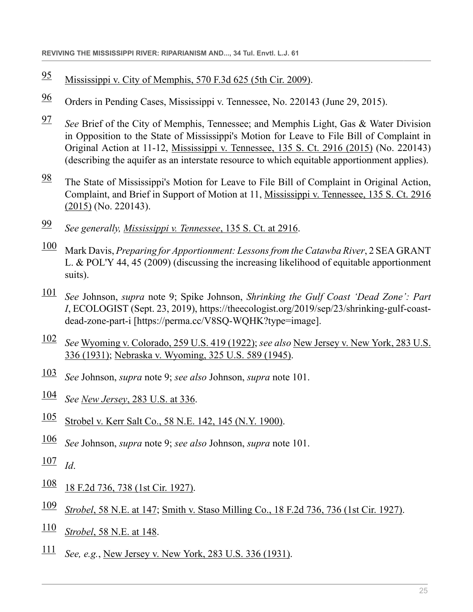- <span id="page-24-0"></span>[95](#page-9-4) [Mississippi v. City of Memphis, 570 F.3d 625 \(5th Cir. 2009\).](http://www.westlaw.com/Link/Document/FullText?findType=Y&serNum=2018984251&pubNum=0000506&originatingDoc=Icc44daa1911411ebbea4f0dc9fb69570&refType=RP&originationContext=document&vr=3.0&rs=cblt1.0&transitionType=DocumentItem&contextData=(sc.Search))
- <span id="page-24-1"></span>[96](#page-9-5) Orders in Pending Cases, Mississippi v. Tennessee, No. 220143 (June 29, 2015).
- <span id="page-24-2"></span>[97](#page-9-6) *See* Brief of the City of Memphis, Tennessee; and Memphis Light, Gas & Water Division in Opposition to the State of Mississippi's Motion for Leave to File Bill of Complaint in Original Action at 11-12, [Mississippi v. Tennessee, 135 S. Ct. 2916 \(2015\)](http://www.westlaw.com/Link/Document/FullText?findType=Y&serNum=2036563250&pubNum=0000708&originatingDoc=Icc44daa1911411ebbea4f0dc9fb69570&refType=RP&originationContext=document&vr=3.0&rs=cblt1.0&transitionType=DocumentItem&contextData=(sc.Search)) (No. 220143) (describing the aquifer as an interstate resource to which equitable apportionment applies).
- <span id="page-24-3"></span> $\frac{98}{96}$  $\frac{98}{96}$  $\frac{98}{96}$  The State of Mississippi's Motion for Leave to File Bill of Complaint in Original Action, Complaint, and Brief in Support of Motion at 11, [Mississippi v. Tennessee, 135 S. Ct. 2916](http://www.westlaw.com/Link/Document/FullText?findType=Y&serNum=2036563250&pubNum=0000708&originatingDoc=Icc44daa1911411ebbea4f0dc9fb69570&refType=RP&originationContext=document&vr=3.0&rs=cblt1.0&transitionType=DocumentItem&contextData=(sc.Search)) [\(2015\)](http://www.westlaw.com/Link/Document/FullText?findType=Y&serNum=2036563250&pubNum=0000708&originatingDoc=Icc44daa1911411ebbea4f0dc9fb69570&refType=RP&originationContext=document&vr=3.0&rs=cblt1.0&transitionType=DocumentItem&contextData=(sc.Search)) (No. 220143).
- <span id="page-24-4"></span>[99](#page-9-8) *See generally, [Mississippi v. Tennessee](http://www.westlaw.com/Link/Document/FullText?findType=Y&serNum=2036563250&pubNum=0000708&originatingDoc=Icc44daa1911411ebbea4f0dc9fb69570&refType=RP&fi=co_pp_sp_708_2916&originationContext=document&vr=3.0&rs=cblt1.0&transitionType=DocumentItem&contextData=(sc.Search)#co_pp_sp_708_2916)*, 135 S. Ct. at 2916.
- <span id="page-24-5"></span>[100](#page-9-9) Mark Davis, *Preparing for Apportionment: Lessons from the Catawba River*, 2 SEA GRANT L. & POL'Y 44, 45 (2009) (discussing the increasing likelihood of equitable apportionment suits).
- <span id="page-24-6"></span>[101](#page-9-10) *See* Johnson, *supra* note 9; Spike Johnson, *Shrinking the Gulf Coast 'Dead Zone': Part I*, ECOLOGIST (Sept. 23, 2019), https://theecologist.org/2019/sep/23/shrinking-gulf-coastdead-zone-part-i [https://perma.cc/V8SQ-WQHK?type=image].
- <span id="page-24-7"></span>[102](#page-10-0) *See* [Wyoming v. Colorado, 259 U.S. 419 \(1922\);](http://www.westlaw.com/Link/Document/FullText?findType=Y&serNum=1922118067&pubNum=0000780&originatingDoc=Icc44daa1911411ebbea4f0dc9fb69570&refType=RP&originationContext=document&vr=3.0&rs=cblt1.0&transitionType=DocumentItem&contextData=(sc.Search)) *see also* [New Jersey v. New York, 283 U.S.](http://www.westlaw.com/Link/Document/FullText?findType=Y&serNum=1931123944&pubNum=0000780&originatingDoc=Icc44daa1911411ebbea4f0dc9fb69570&refType=RP&originationContext=document&vr=3.0&rs=cblt1.0&transitionType=DocumentItem&contextData=(sc.Search)) [336 \(1931\)](http://www.westlaw.com/Link/Document/FullText?findType=Y&serNum=1931123944&pubNum=0000780&originatingDoc=Icc44daa1911411ebbea4f0dc9fb69570&refType=RP&originationContext=document&vr=3.0&rs=cblt1.0&transitionType=DocumentItem&contextData=(sc.Search)); [Nebraska v. Wyoming, 325 U.S. 589 \(1945\).](http://www.westlaw.com/Link/Document/FullText?findType=Y&serNum=1945116325&pubNum=0000780&originatingDoc=Icc44daa1911411ebbea4f0dc9fb69570&refType=RP&originationContext=document&vr=3.0&rs=cblt1.0&transitionType=DocumentItem&contextData=(sc.Search))
- <span id="page-24-8"></span>[103](#page-10-1) *See* Johnson, *supra* note 9; *see also* Johnson, *supra* note 101.
- <span id="page-24-9"></span>[104](#page-10-2) *See New Jersey*[, 283 U.S. at 336](http://www.westlaw.com/Link/Document/FullText?findType=Y&serNum=1931123944&pubNum=0000780&originatingDoc=Icc44daa1911411ebbea4f0dc9fb69570&refType=RP&fi=co_pp_sp_780_336&originationContext=document&vr=3.0&rs=cblt1.0&transitionType=DocumentItem&contextData=(sc.Search)#co_pp_sp_780_336).
- <span id="page-24-10"></span>[105](#page-10-3) [Strobel v. Kerr Salt Co., 58 N.E. 142, 145 \(N.Y. 1900\).](http://www.westlaw.com/Link/Document/FullText?findType=Y&serNum=1900003881&pubNum=0000577&originatingDoc=Icc44daa1911411ebbea4f0dc9fb69570&refType=RP&fi=co_pp_sp_577_145&originationContext=document&vr=3.0&rs=cblt1.0&transitionType=DocumentItem&contextData=(sc.Search)#co_pp_sp_577_145)
- <span id="page-24-11"></span>[106](#page-10-4) *See* Johnson, *supra* note 9; *see also* Johnson, *supra* note 101.
- <span id="page-24-12"></span> $\frac{107}{Id}$  $\frac{107}{Id}$  $\frac{107}{Id}$
- <span id="page-24-13"></span> $\frac{108}{18}$  $\frac{108}{18}$  $\frac{108}{18}$  [18 F.2d 736, 738 \(1st Cir. 1927\)](http://www.westlaw.com/Link/Document/FullText?findType=Y&serNum=1927127643&pubNum=0000350&originatingDoc=Icc44daa1911411ebbea4f0dc9fb69570&refType=RP&fi=co_pp_sp_350_738&originationContext=document&vr=3.0&rs=cblt1.0&transitionType=DocumentItem&contextData=(sc.Search)#co_pp_sp_350_738).
- <span id="page-24-14"></span>[109](#page-10-7) *Strobel*[, 58 N.E. at 147;](http://www.westlaw.com/Link/Document/FullText?findType=Y&serNum=1900003881&pubNum=0000577&originatingDoc=Icc44daa1911411ebbea4f0dc9fb69570&refType=RP&fi=co_pp_sp_577_147&originationContext=document&vr=3.0&rs=cblt1.0&transitionType=DocumentItem&contextData=(sc.Search)#co_pp_sp_577_147) [Smith v. Staso Milling Co., 18 F.2d 736, 736 \(1st Cir. 1927\).](http://www.westlaw.com/Link/Document/FullText?findType=Y&serNum=1927127643&pubNum=0000350&originatingDoc=Icc44daa1911411ebbea4f0dc9fb69570&refType=RP&originationContext=document&vr=3.0&rs=cblt1.0&transitionType=DocumentItem&contextData=(sc.Search))
- <span id="page-24-15"></span>[110](#page-10-8) *Strobel*[, 58 N.E. at 148.](http://www.westlaw.com/Link/Document/FullText?findType=Y&serNum=1900003881&pubNum=0000577&originatingDoc=Icc44daa1911411ebbea4f0dc9fb69570&refType=RP&fi=co_pp_sp_577_148&originationContext=document&vr=3.0&rs=cblt1.0&transitionType=DocumentItem&contextData=(sc.Search)#co_pp_sp_577_148)
- <span id="page-24-16"></span>[111](#page-10-9) *See, e.g.*, [New Jersey v. New York, 283 U.S. 336 \(1931\).](http://www.westlaw.com/Link/Document/FullText?findType=Y&serNum=1931123944&pubNum=0000780&originatingDoc=Icc44daa1911411ebbea4f0dc9fb69570&refType=RP&originationContext=document&vr=3.0&rs=cblt1.0&transitionType=DocumentItem&contextData=(sc.Search))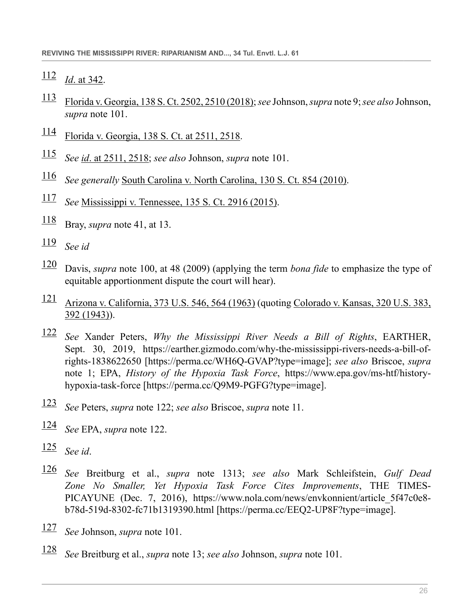- <span id="page-25-0"></span>*Id*[. at 342](http://www.westlaw.com/Link/Document/FullText?findType=Y&serNum=1931123944&pubNum=0000780&originatingDoc=Icc44daa1911411ebbea4f0dc9fb69570&refType=RP&fi=co_pp_sp_780_342&originationContext=document&vr=3.0&rs=cblt1.0&transitionType=DocumentItem&contextData=(sc.Search)#co_pp_sp_780_342).
- <span id="page-25-1"></span> [Florida v. Georgia, 138 S. Ct. 2502, 2510 \(2018\)](http://www.westlaw.com/Link/Document/FullText?findType=Y&serNum=2044822048&pubNum=0000708&originatingDoc=Icc44daa1911411ebbea4f0dc9fb69570&refType=RP&fi=co_pp_sp_708_2510&originationContext=document&vr=3.0&rs=cblt1.0&transitionType=DocumentItem&contextData=(sc.Search)#co_pp_sp_708_2510); *see* Johnson, *supra* note 9; *see also* Johnson, *supra* note 101.
- <span id="page-25-2"></span>[Florida v. Georgia, 138 S. Ct. at 2511, 2518.](http://www.westlaw.com/Link/Document/FullText?findType=Y&serNum=2044822048&pubNum=0000708&originatingDoc=Icc44daa1911411ebbea4f0dc9fb69570&refType=RP&fi=co_pp_sp_708_2511&originationContext=document&vr=3.0&rs=cblt1.0&transitionType=DocumentItem&contextData=(sc.Search)#co_pp_sp_708_2511)
- <span id="page-25-3"></span>*See id*[. at 2511, 2518](http://www.westlaw.com/Link/Document/FullText?findType=Y&serNum=2044822048&pubNum=0000708&originatingDoc=Icc44daa1911411ebbea4f0dc9fb69570&refType=RP&fi=co_pp_sp_708_2511&originationContext=document&vr=3.0&rs=cblt1.0&transitionType=DocumentItem&contextData=(sc.Search)#co_pp_sp_708_2511); *see also* Johnson, *supra* note 101.
- <span id="page-25-4"></span>*See generally* [South Carolina v. North Carolina, 130 S. Ct. 854 \(2010\).](http://www.westlaw.com/Link/Document/FullText?findType=Y&serNum=2021166035&pubNum=0000708&originatingDoc=Icc44daa1911411ebbea4f0dc9fb69570&refType=RP&originationContext=document&vr=3.0&rs=cblt1.0&transitionType=DocumentItem&contextData=(sc.Search))
- <span id="page-25-5"></span>*See* [Mississippi v. Tennessee, 135 S. Ct. 2916 \(2015\).](http://www.westlaw.com/Link/Document/FullText?findType=Y&serNum=2036563250&pubNum=0000708&originatingDoc=Icc44daa1911411ebbea4f0dc9fb69570&refType=RP&originationContext=document&vr=3.0&rs=cblt1.0&transitionType=DocumentItem&contextData=(sc.Search))
- <span id="page-25-6"></span>Bray, *supra* note 41, at 13.
- <span id="page-25-7"></span>*See id*
- <span id="page-25-8"></span> Davis, *supra* note 100, at 48 (2009) (applying the term *bona fide* to emphasize the type of equitable apportionment dispute the court will hear).
- <span id="page-25-9"></span> [Arizona v. California, 373 U.S. 546, 564 \(1963\)](http://www.westlaw.com/Link/Document/FullText?findType=Y&serNum=1963104966&pubNum=0000780&originatingDoc=Icc44daa1911411ebbea4f0dc9fb69570&refType=RP&fi=co_pp_sp_780_564&originationContext=document&vr=3.0&rs=cblt1.0&transitionType=DocumentItem&contextData=(sc.Search)#co_pp_sp_780_564) (quoting [Colorado v. Kansas, 320 U.S. 383,](http://www.westlaw.com/Link/Document/FullText?findType=Y&serNum=1943119262&pubNum=0000780&originatingDoc=Icc44daa1911411ebbea4f0dc9fb69570&refType=RP&fi=co_pp_sp_780_392&originationContext=document&vr=3.0&rs=cblt1.0&transitionType=DocumentItem&contextData=(sc.Search)#co_pp_sp_780_392) [392 \(1943\)](http://www.westlaw.com/Link/Document/FullText?findType=Y&serNum=1943119262&pubNum=0000780&originatingDoc=Icc44daa1911411ebbea4f0dc9fb69570&refType=RP&fi=co_pp_sp_780_392&originationContext=document&vr=3.0&rs=cblt1.0&transitionType=DocumentItem&contextData=(sc.Search)#co_pp_sp_780_392)).
- <span id="page-25-10"></span> *See* Xander Peters, *Why the Mississippi River Needs a Bill of Rights*, EARTHER, Sept. 30, 2019, https://earther.gizmodo.com/why-the-mississippi-rivers-needs-a-bill-ofrights-1838622650 [https://perma.cc/WH6Q-GVAP?type=image]; *see also* Briscoe, *supra* note 1; EPA, *History of the Hypoxia Task Force*, https://www.epa.gov/ms-htf/historyhypoxia-task-force [https://perma.cc/Q9M9-PGFG?type=image].
- <span id="page-25-11"></span>*See* Peters, *supra* note 122; *see also* Briscoe, *supra* note 11.
- <span id="page-25-12"></span>*See* EPA, *supra* note 122.
- <span id="page-25-13"></span>*See id*.
- <span id="page-25-14"></span> *See* Breitburg et al., *supra* note 1313; *see also* Mark Schleifstein, *Gulf Dead Zone No Smaller, Yet Hypoxia Task Force Cites Improvements*, THE TIMES-PICAYUNE (Dec. 7, 2016), https://www.nola.com/news/envkonnient/article\_5f47c0e8 b78d-519d-8302-fc71b1319390.html [https://perma.cc/EEQ2-UP8F?type=image].
- <span id="page-25-15"></span>*See* Johnson, *supra* note 101.
- <span id="page-25-16"></span>*See* Breitburg et al., *supra* note 13; *see also* Johnson, *supra* note 101.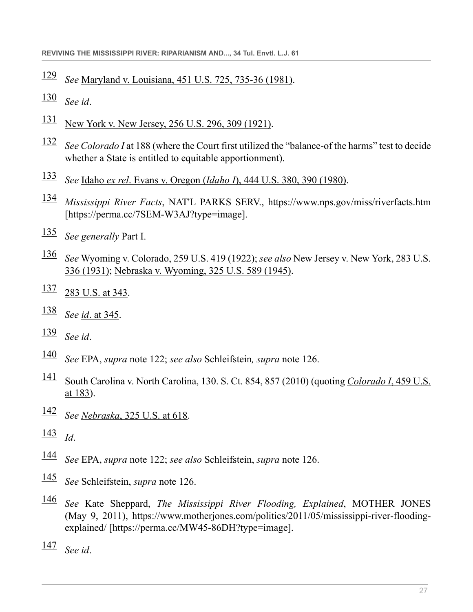- <span id="page-26-0"></span>*See* [Maryland v. Louisiana, 451 U.S. 725, 735-36 \(1981\).](http://www.westlaw.com/Link/Document/FullText?findType=Y&serNum=1981122699&pubNum=0000780&originatingDoc=Icc44daa1911411ebbea4f0dc9fb69570&refType=RP&fi=co_pp_sp_780_735&originationContext=document&vr=3.0&rs=cblt1.0&transitionType=DocumentItem&contextData=(sc.Search)#co_pp_sp_780_735)
- <span id="page-26-1"></span>*See id*.
- <span id="page-26-2"></span> $\frac{131}{131}$  $\frac{131}{131}$  $\frac{131}{131}$  [New York v. New Jersey, 256 U.S. 296, 309 \(1921\)](http://www.westlaw.com/Link/Document/FullText?findType=Y&serNum=1921113783&pubNum=0000780&originatingDoc=Icc44daa1911411ebbea4f0dc9fb69570&refType=RP&fi=co_pp_sp_780_309&originationContext=document&vr=3.0&rs=cblt1.0&transitionType=DocumentItem&contextData=(sc.Search)#co_pp_sp_780_309).
- <span id="page-26-3"></span> *See Colorado I* at 188 (where the Court first utilized the "balance-of the harms" test to decide whether a State is entitled to equitable apportionment).
- <span id="page-26-4"></span>*See* Idaho *ex rel*. Evans v. Oregon (*Idaho I*[\), 444 U.S. 380, 390 \(1980\)](http://www.westlaw.com/Link/Document/FullText?findType=Y&serNum=1980101298&pubNum=0000780&originatingDoc=Icc44daa1911411ebbea4f0dc9fb69570&refType=RP&fi=co_pp_sp_780_390&originationContext=document&vr=3.0&rs=cblt1.0&transitionType=DocumentItem&contextData=(sc.Search)#co_pp_sp_780_390).
- <span id="page-26-5"></span> *Mississippi River Facts*, NAT'L PARKS SERV., https://www.nps.gov/miss/riverfacts.htm [https://perma.cc/7SEM-W3AJ?type=image].
- <span id="page-26-6"></span>*See generally* Part I.
- <span id="page-26-7"></span> *See* [Wyoming v. Colorado, 259 U.S. 419 \(1922\);](http://www.westlaw.com/Link/Document/FullText?findType=Y&serNum=1922118067&pubNum=0000780&originatingDoc=Icc44daa1911411ebbea4f0dc9fb69570&refType=RP&originationContext=document&vr=3.0&rs=cblt1.0&transitionType=DocumentItem&contextData=(sc.Search)) *see also* [New Jersey v. New York, 283 U.S.](http://www.westlaw.com/Link/Document/FullText?findType=Y&serNum=1931123944&pubNum=0000780&originatingDoc=Icc44daa1911411ebbea4f0dc9fb69570&refType=RP&originationContext=document&vr=3.0&rs=cblt1.0&transitionType=DocumentItem&contextData=(sc.Search)) [336 \(1931\)](http://www.westlaw.com/Link/Document/FullText?findType=Y&serNum=1931123944&pubNum=0000780&originatingDoc=Icc44daa1911411ebbea4f0dc9fb69570&refType=RP&originationContext=document&vr=3.0&rs=cblt1.0&transitionType=DocumentItem&contextData=(sc.Search)); [Nebraska v. Wyoming, 325 U.S. 589 \(1945\).](http://www.westlaw.com/Link/Document/FullText?findType=Y&serNum=1945116325&pubNum=0000780&originatingDoc=Icc44daa1911411ebbea4f0dc9fb69570&refType=RP&originationContext=document&vr=3.0&rs=cblt1.0&transitionType=DocumentItem&contextData=(sc.Search))
- <span id="page-26-8"></span> $\frac{137}{283}$  $\frac{137}{283}$  $\frac{137}{283}$  U.S. at 343.
- <span id="page-26-9"></span>*See id*[. at 345.](http://www.westlaw.com/Link/Document/FullText?findType=Y&serNum=1931123944&pubNum=0000780&originatingDoc=Icc44daa1911411ebbea4f0dc9fb69570&refType=RP&fi=co_pp_sp_780_345&originationContext=document&vr=3.0&rs=cblt1.0&transitionType=DocumentItem&contextData=(sc.Search)#co_pp_sp_780_345)
- <span id="page-26-10"></span>*See id*.
- <span id="page-26-11"></span>*See* EPA, *supra* note 122; *see also* Schleifstein*, supra* note 126.
- <span id="page-26-12"></span> South Carolina v. North Carolina, 130. S. Ct. 854, 857 (2010) (quoting *[Colorado I](http://www.westlaw.com/Link/Document/FullText?findType=Y&serNum=1982153513&pubNum=0000780&originatingDoc=Icc44daa1911411ebbea4f0dc9fb69570&refType=RP&fi=co_pp_sp_780_183&originationContext=document&vr=3.0&rs=cblt1.0&transitionType=DocumentItem&contextData=(sc.Search)#co_pp_sp_780_183)*, 459 U.S. [at 183](http://www.westlaw.com/Link/Document/FullText?findType=Y&serNum=1982153513&pubNum=0000780&originatingDoc=Icc44daa1911411ebbea4f0dc9fb69570&refType=RP&fi=co_pp_sp_780_183&originationContext=document&vr=3.0&rs=cblt1.0&transitionType=DocumentItem&contextData=(sc.Search)#co_pp_sp_780_183)).
- <span id="page-26-13"></span>*See Nebraska*[, 325 U.S. at 618.](http://www.westlaw.com/Link/Document/FullText?findType=Y&serNum=1945116325&pubNum=0000780&originatingDoc=Icc44daa1911411ebbea4f0dc9fb69570&refType=RP&fi=co_pp_sp_780_618&originationContext=document&vr=3.0&rs=cblt1.0&transitionType=DocumentItem&contextData=(sc.Search)#co_pp_sp_780_618)

<span id="page-26-14"></span>*Id*.

- <span id="page-26-15"></span>*See* EPA, *supra* note 122; *see also* Schleifstein, *supra* note 126.
- <span id="page-26-16"></span>*See* Schleifstein, *supra* note 126.
- <span id="page-26-17"></span> *See* Kate Sheppard, *The Mississippi River Flooding, Explained*, MOTHER JONES (May 9, 2011), https://www.motherjones.com/politics/2011/05/mississippi-river-floodingexplained/ [https://perma.cc/MW45-86DH?type=image].
- <span id="page-26-18"></span>*See id*.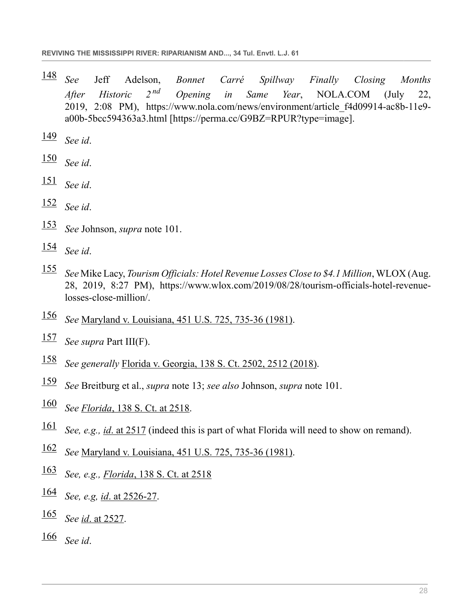- <span id="page-27-0"></span> *See* Jeff Adelson, *Bonnet Carré Spillway Finally Closing Months After Historic 2 nd Opening in Same Year*, NOLA.COM (July 22, 2019, 2:08 PM), https://www.nola.com/news/environment/article\_f4d09914-ac8b-11e9 a00b-5bcc594363a3.html [https://perma.cc/G9BZ=RPUR?type=image].
- <span id="page-27-1"></span>*See id*.
- <span id="page-27-2"></span>*See id*.
- <span id="page-27-3"></span>*See id*.
- <span id="page-27-4"></span>*See id*.
- <span id="page-27-5"></span>*See* Johnson, *supra* note 101.
- <span id="page-27-6"></span>*See id*.
- <span id="page-27-7"></span> *See* Mike Lacy, *Tourism Officials: Hotel Revenue Losses Close to \$4.1 Million*, WLOX (Aug. 28, 2019, 8:27 PM), https://www.wlox.com/2019/08/28/tourism-officials-hotel-revenuelosses-close-million/.
- <span id="page-27-8"></span>*See* [Maryland v. Louisiana, 451 U.S. 725, 735-36 \(1981\).](http://www.westlaw.com/Link/Document/FullText?findType=Y&serNum=1981122699&pubNum=0000780&originatingDoc=Icc44daa1911411ebbea4f0dc9fb69570&refType=RP&fi=co_pp_sp_780_735&originationContext=document&vr=3.0&rs=cblt1.0&transitionType=DocumentItem&contextData=(sc.Search)#co_pp_sp_780_735)
- <span id="page-27-9"></span>*See supra* Part III(F).
- <span id="page-27-10"></span>*See generally* [Florida v. Georgia, 138 S. Ct. 2502, 2512 \(2018\)](http://www.westlaw.com/Link/Document/FullText?findType=Y&serNum=2044822048&pubNum=0000708&originatingDoc=Icc44daa1911411ebbea4f0dc9fb69570&refType=RP&fi=co_pp_sp_708_2512&originationContext=document&vr=3.0&rs=cblt1.0&transitionType=DocumentItem&contextData=(sc.Search)#co_pp_sp_708_2512).
- <span id="page-27-11"></span>*See* Breitburg et al., *supra* note 13; *see also* Johnson, *supra* note 101.
- <span id="page-27-12"></span>*See Florida*[, 138 S. Ct. at 2518](http://www.westlaw.com/Link/Document/FullText?findType=Y&serNum=2044822048&pubNum=0000708&originatingDoc=Icc44daa1911411ebbea4f0dc9fb69570&refType=RP&fi=co_pp_sp_708_2518&originationContext=document&vr=3.0&rs=cblt1.0&transitionType=DocumentItem&contextData=(sc.Search)#co_pp_sp_708_2518).
- <span id="page-27-13"></span>*See, e.g., id*[. at 2517](http://www.westlaw.com/Link/Document/FullText?findType=Y&serNum=2044822048&pubNum=0000708&originatingDoc=Icc44daa1911411ebbea4f0dc9fb69570&refType=RP&fi=co_pp_sp_708_2517&originationContext=document&vr=3.0&rs=cblt1.0&transitionType=DocumentItem&contextData=(sc.Search)#co_pp_sp_708_2517) (indeed this is part of what Florida will need to show on remand).
- <span id="page-27-14"></span>*See* [Maryland v. Louisiana, 451 U.S. 725, 735-36 \(1981\).](http://www.westlaw.com/Link/Document/FullText?findType=Y&serNum=1981122699&pubNum=0000780&originatingDoc=Icc44daa1911411ebbea4f0dc9fb69570&refType=RP&fi=co_pp_sp_780_735&originationContext=document&vr=3.0&rs=cblt1.0&transitionType=DocumentItem&contextData=(sc.Search)#co_pp_sp_780_735)
- <span id="page-27-15"></span>*See, e.g., Florida*[, 138 S. Ct. at 2518](http://www.westlaw.com/Link/Document/FullText?findType=Y&serNum=2044822048&pubNum=0000708&originatingDoc=Icc44daa1911411ebbea4f0dc9fb69570&refType=RP&fi=co_pp_sp_708_2518&originationContext=document&vr=3.0&rs=cblt1.0&transitionType=DocumentItem&contextData=(sc.Search)#co_pp_sp_708_2518)
- <span id="page-27-16"></span>*See, e.g, id*[. at 2526-27](http://www.westlaw.com/Link/Document/FullText?findType=Y&serNum=2044822048&pubNum=0000708&originatingDoc=Icc44daa1911411ebbea4f0dc9fb69570&refType=RP&fi=co_pp_sp_708_2526&originationContext=document&vr=3.0&rs=cblt1.0&transitionType=DocumentItem&contextData=(sc.Search)#co_pp_sp_708_2526).
- <span id="page-27-17"></span>*See id*[. at 2527](http://www.westlaw.com/Link/Document/FullText?findType=Y&serNum=2044822048&pubNum=0000708&originatingDoc=Icc44daa1911411ebbea4f0dc9fb69570&refType=RP&fi=co_pp_sp_708_2527&originationContext=document&vr=3.0&rs=cblt1.0&transitionType=DocumentItem&contextData=(sc.Search)#co_pp_sp_708_2527).
- <span id="page-27-18"></span>*See id*.